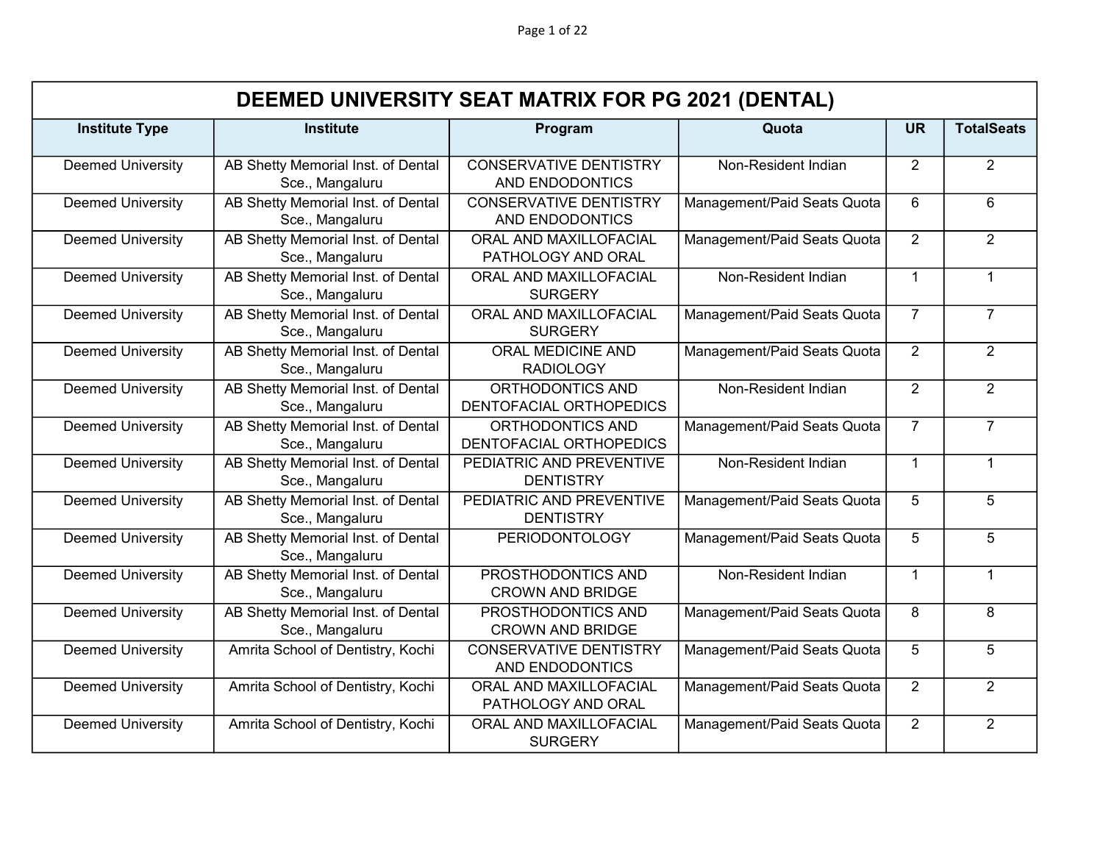Page 1 of 22

|                          |                                                       |                                                         | DEEMED UNIVERSITY SEAT MATRIX FOR PG 2021 (DENTAL) |                |                   |  |  |  |  |
|--------------------------|-------------------------------------------------------|---------------------------------------------------------|----------------------------------------------------|----------------|-------------------|--|--|--|--|
| <b>Institute Type</b>    | <b>Institute</b>                                      | Program                                                 | Quota                                              | <b>UR</b>      | <b>TotalSeats</b> |  |  |  |  |
| <b>Deemed University</b> | AB Shetty Memorial Inst. of Dental<br>Sce., Mangaluru | <b>CONSERVATIVE DENTISTRY</b><br>AND ENDODONTICS        | Non-Resident Indian                                | $\overline{2}$ | $\overline{2}$    |  |  |  |  |
| <b>Deemed University</b> | AB Shetty Memorial Inst. of Dental<br>Sce., Mangaluru | <b>CONSERVATIVE DENTISTRY</b><br>AND ENDODONTICS        | Management/Paid Seats Quota                        | 6              | 6                 |  |  |  |  |
| <b>Deemed University</b> | AB Shetty Memorial Inst. of Dental<br>Sce., Mangaluru | ORAL AND MAXILLOFACIAL<br>PATHOLOGY AND ORAL            | Management/Paid Seats Quota                        | $\overline{2}$ | $\overline{2}$    |  |  |  |  |
| <b>Deemed University</b> | AB Shetty Memorial Inst. of Dental<br>Sce., Mangaluru | ORAL AND MAXILLOFACIAL<br><b>SURGERY</b>                | Non-Resident Indian                                | $\overline{1}$ | $\mathbf{1}$      |  |  |  |  |
| <b>Deemed University</b> | AB Shetty Memorial Inst. of Dental<br>Sce., Mangaluru | ORAL AND MAXILLOFACIAL<br><b>SURGERY</b>                | Management/Paid Seats Quota                        | $\overline{7}$ | $\overline{7}$    |  |  |  |  |
| <b>Deemed University</b> | AB Shetty Memorial Inst. of Dental<br>Sce., Mangaluru | <b>ORAL MEDICINE AND</b><br><b>RADIOLOGY</b>            | Management/Paid Seats Quota                        | 2              | $\overline{2}$    |  |  |  |  |
| <b>Deemed University</b> | AB Shetty Memorial Inst. of Dental<br>Sce., Mangaluru | ORTHODONTICS AND<br>DENTOFACIAL ORTHOPEDICS             | Non-Resident Indian                                | 2              | $\overline{2}$    |  |  |  |  |
| <b>Deemed University</b> | AB Shetty Memorial Inst. of Dental<br>Sce., Mangaluru | ORTHODONTICS AND<br>DENTOFACIAL ORTHOPEDICS             | Management/Paid Seats Quota                        | $\overline{7}$ | $\overline{7}$    |  |  |  |  |
| <b>Deemed University</b> | AB Shetty Memorial Inst. of Dental<br>Sce., Mangaluru | PEDIATRIC AND PREVENTIVE<br><b>DENTISTRY</b>            | Non-Resident Indian                                | $\mathbf{1}$   | $\mathbf{1}$      |  |  |  |  |
| <b>Deemed University</b> | AB Shetty Memorial Inst. of Dental<br>Sce., Mangaluru | PEDIATRIC AND PREVENTIVE<br><b>DENTISTRY</b>            | Management/Paid Seats Quota                        | 5              | 5                 |  |  |  |  |
| <b>Deemed University</b> | AB Shetty Memorial Inst. of Dental<br>Sce., Mangaluru | <b>PERIODONTOLOGY</b>                                   | Management/Paid Seats Quota                        | 5              | 5                 |  |  |  |  |
| <b>Deemed University</b> | AB Shetty Memorial Inst. of Dental<br>Sce., Mangaluru | PROSTHODONTICS AND<br><b>CROWN AND BRIDGE</b>           | Non-Resident Indian                                | $\mathbf{1}$   | $\mathbf{1}$      |  |  |  |  |
| <b>Deemed University</b> | AB Shetty Memorial Inst. of Dental<br>Sce., Mangaluru | PROSTHODONTICS AND<br><b>CROWN AND BRIDGE</b>           | Management/Paid Seats Quota                        | 8              | 8                 |  |  |  |  |
| <b>Deemed University</b> | Amrita School of Dentistry, Kochi                     | <b>CONSERVATIVE DENTISTRY</b><br><b>AND ENDODONTICS</b> | Management/Paid Seats Quota                        | 5              | 5                 |  |  |  |  |
| <b>Deemed University</b> | Amrita School of Dentistry, Kochi                     | ORAL AND MAXILLOFACIAL<br>PATHOLOGY AND ORAL            | Management/Paid Seats Quota                        | $\overline{2}$ | $\overline{2}$    |  |  |  |  |
| <b>Deemed University</b> | Amrita School of Dentistry, Kochi                     | ORAL AND MAXILLOFACIAL<br><b>SURGERY</b>                | Management/Paid Seats Quota                        | 2              | $\overline{2}$    |  |  |  |  |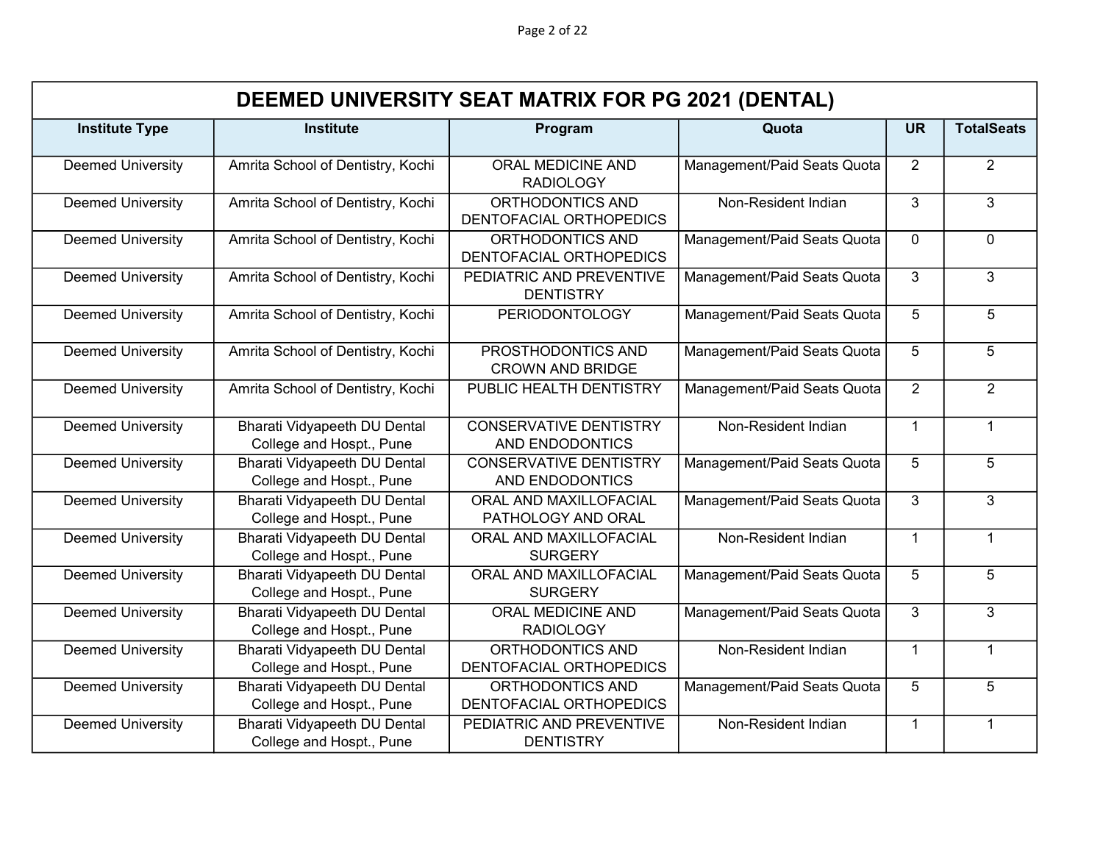Page 2 of 22

|                          | DEEMED UNIVERSITY SEAT MATRIX FOR PG 2021 (DENTAL)              |                                                  |                             |                |                   |  |  |  |
|--------------------------|-----------------------------------------------------------------|--------------------------------------------------|-----------------------------|----------------|-------------------|--|--|--|
| <b>Institute Type</b>    | <b>Institute</b>                                                | Program                                          | Quota                       | <b>UR</b>      | <b>TotalSeats</b> |  |  |  |
| <b>Deemed University</b> | Amrita School of Dentistry, Kochi                               | ORAL MEDICINE AND<br><b>RADIOLOGY</b>            | Management/Paid Seats Quota | $\overline{2}$ | $\overline{2}$    |  |  |  |
| <b>Deemed University</b> | Amrita School of Dentistry, Kochi                               | ORTHODONTICS AND<br>DENTOFACIAL ORTHOPEDICS      | Non-Resident Indian         | 3              | 3                 |  |  |  |
| <b>Deemed University</b> | Amrita School of Dentistry, Kochi                               | ORTHODONTICS AND<br>DENTOFACIAL ORTHOPEDICS      | Management/Paid Seats Quota | $\Omega$       | $\mathbf 0$       |  |  |  |
| <b>Deemed University</b> | Amrita School of Dentistry, Kochi                               | PEDIATRIC AND PREVENTIVE<br><b>DENTISTRY</b>     | Management/Paid Seats Quota | 3              | 3                 |  |  |  |
| <b>Deemed University</b> | Amrita School of Dentistry, Kochi                               | <b>PERIODONTOLOGY</b>                            | Management/Paid Seats Quota | 5              | 5                 |  |  |  |
| <b>Deemed University</b> | Amrita School of Dentistry, Kochi                               | PROSTHODONTICS AND<br><b>CROWN AND BRIDGE</b>    | Management/Paid Seats Quota | 5              | 5                 |  |  |  |
| <b>Deemed University</b> | Amrita School of Dentistry, Kochi                               | PUBLIC HEALTH DENTISTRY                          | Management/Paid Seats Quota | $\overline{2}$ | $\overline{2}$    |  |  |  |
| <b>Deemed University</b> | Bharati Vidyapeeth DU Dental<br>College and Hospt., Pune        | <b>CONSERVATIVE DENTISTRY</b><br>AND ENDODONTICS | Non-Resident Indian         | $\mathbf 1$    | $\mathbf{1}$      |  |  |  |
| <b>Deemed University</b> | <b>Bharati Vidyapeeth DU Dental</b><br>College and Hospt., Pune | <b>CONSERVATIVE DENTISTRY</b><br>AND ENDODONTICS | Management/Paid Seats Quota | 5              | 5                 |  |  |  |
| <b>Deemed University</b> | <b>Bharati Vidyapeeth DU Dental</b><br>College and Hospt., Pune | ORAL AND MAXILLOFACIAL<br>PATHOLOGY AND ORAL     | Management/Paid Seats Quota | 3              | 3                 |  |  |  |
| <b>Deemed University</b> | <b>Bharati Vidyapeeth DU Dental</b><br>College and Hospt., Pune | ORAL AND MAXILLOFACIAL<br><b>SURGERY</b>         | Non-Resident Indian         | $\overline{1}$ | $\mathbf{1}$      |  |  |  |
| <b>Deemed University</b> | <b>Bharati Vidyapeeth DU Dental</b><br>College and Hospt., Pune | ORAL AND MAXILLOFACIAL<br><b>SURGERY</b>         | Management/Paid Seats Quota | 5              | 5                 |  |  |  |
| <b>Deemed University</b> | Bharati Vidyapeeth DU Dental<br>College and Hospt., Pune        | ORAL MEDICINE AND<br><b>RADIOLOGY</b>            | Management/Paid Seats Quota | 3              | 3                 |  |  |  |
| <b>Deemed University</b> | <b>Bharati Vidyapeeth DU Dental</b><br>College and Hospt., Pune | ORTHODONTICS AND<br>DENTOFACIAL ORTHOPEDICS      | Non-Resident Indian         | $\mathbf{1}$   | $\mathbf{1}$      |  |  |  |
| <b>Deemed University</b> | <b>Bharati Vidyapeeth DU Dental</b><br>College and Hospt., Pune | ORTHODONTICS AND<br>DENTOFACIAL ORTHOPEDICS      | Management/Paid Seats Quota | 5              | 5                 |  |  |  |
| <b>Deemed University</b> | <b>Bharati Vidyapeeth DU Dental</b><br>College and Hospt., Pune | PEDIATRIC AND PREVENTIVE<br><b>DENTISTRY</b>     | Non-Resident Indian         | $\mathbf{1}$   | $\mathbf{1}$      |  |  |  |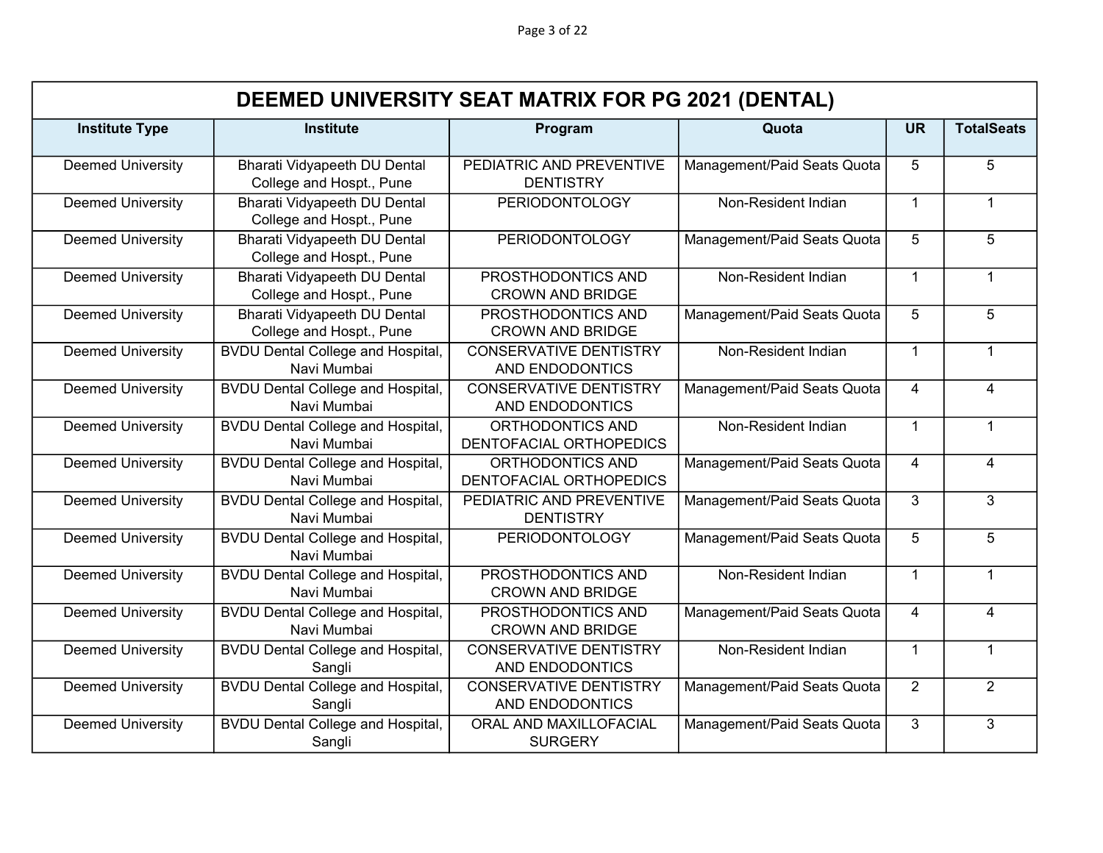|                          | DEEMED UNIVERSITY SEAT MATRIX FOR PG 2021 (DENTAL)              |                                                         |                             |                |                   |  |  |
|--------------------------|-----------------------------------------------------------------|---------------------------------------------------------|-----------------------------|----------------|-------------------|--|--|
| <b>Institute Type</b>    | <b>Institute</b>                                                | Program                                                 | Quota                       | <b>UR</b>      | <b>TotalSeats</b> |  |  |
| <b>Deemed University</b> | Bharati Vidyapeeth DU Dental<br>College and Hospt., Pune        | PEDIATRIC AND PREVENTIVE<br><b>DENTISTRY</b>            | Management/Paid Seats Quota | 5              | 5                 |  |  |
| <b>Deemed University</b> | <b>Bharati Vidyapeeth DU Dental</b><br>College and Hospt., Pune | <b>PERIODONTOLOGY</b>                                   | Non-Resident Indian         | $\mathbf{1}$   | $\mathbf{1}$      |  |  |
| <b>Deemed University</b> | <b>Bharati Vidyapeeth DU Dental</b><br>College and Hospt., Pune | <b>PERIODONTOLOGY</b>                                   | Management/Paid Seats Quota | 5              | $\overline{5}$    |  |  |
| <b>Deemed University</b> | <b>Bharati Vidyapeeth DU Dental</b><br>College and Hospt., Pune | PROSTHODONTICS AND<br><b>CROWN AND BRIDGE</b>           | Non-Resident Indian         | $\mathbf{1}$   | $\mathbf{1}$      |  |  |
| <b>Deemed University</b> | Bharati Vidyapeeth DU Dental<br>College and Hospt., Pune        | PROSTHODONTICS AND<br><b>CROWN AND BRIDGE</b>           | Management/Paid Seats Quota | 5              | 5                 |  |  |
| <b>Deemed University</b> | <b>BVDU Dental College and Hospital,</b><br>Navi Mumbai         | <b>CONSERVATIVE DENTISTRY</b><br><b>AND ENDODONTICS</b> | Non-Resident Indian         | $\mathbf{1}$   | $\mathbf{1}$      |  |  |
| <b>Deemed University</b> | <b>BVDU Dental College and Hospital,</b><br>Navi Mumbai         | <b>CONSERVATIVE DENTISTRY</b><br>AND ENDODONTICS        | Management/Paid Seats Quota | $\overline{4}$ | $\overline{4}$    |  |  |
| <b>Deemed University</b> | <b>BVDU Dental College and Hospital,</b><br>Navi Mumbai         | ORTHODONTICS AND<br>DENTOFACIAL ORTHOPEDICS             | Non-Resident Indian         | $\mathbf{1}$   | $\mathbf{1}$      |  |  |
| <b>Deemed University</b> | <b>BVDU Dental College and Hospital,</b><br>Navi Mumbai         | ORTHODONTICS AND<br>DENTOFACIAL ORTHOPEDICS             | Management/Paid Seats Quota | $\overline{4}$ | $\overline{4}$    |  |  |
| <b>Deemed University</b> | <b>BVDU Dental College and Hospital,</b><br>Navi Mumbai         | PEDIATRIC AND PREVENTIVE<br><b>DENTISTRY</b>            | Management/Paid Seats Quota | 3              | 3                 |  |  |
| <b>Deemed University</b> | <b>BVDU Dental College and Hospital,</b><br>Navi Mumbai         | <b>PERIODONTOLOGY</b>                                   | Management/Paid Seats Quota | 5              | 5                 |  |  |
| <b>Deemed University</b> | <b>BVDU Dental College and Hospital,</b><br>Navi Mumbai         | PROSTHODONTICS AND<br><b>CROWN AND BRIDGE</b>           | Non-Resident Indian         | $\mathbf{1}$   | $\mathbf{1}$      |  |  |
| <b>Deemed University</b> | <b>BVDU Dental College and Hospital,</b><br>Navi Mumbai         | PROSTHODONTICS AND<br><b>CROWN AND BRIDGE</b>           | Management/Paid Seats Quota | $\overline{4}$ | $\overline{4}$    |  |  |
| <b>Deemed University</b> | <b>BVDU Dental College and Hospital,</b><br>Sangli              | <b>CONSERVATIVE DENTISTRY</b><br>AND ENDODONTICS        | Non-Resident Indian         | $\mathbf{1}$   | $\mathbf{1}$      |  |  |
| <b>Deemed University</b> | <b>BVDU Dental College and Hospital,</b><br>Sangli              | <b>CONSERVATIVE DENTISTRY</b><br>AND ENDODONTICS        | Management/Paid Seats Quota | $\overline{2}$ | $\overline{2}$    |  |  |
| <b>Deemed University</b> | <b>BVDU Dental College and Hospital,</b><br>Sangli              | ORAL AND MAXILLOFACIAL<br><b>SURGERY</b>                | Management/Paid Seats Quota | 3              | 3                 |  |  |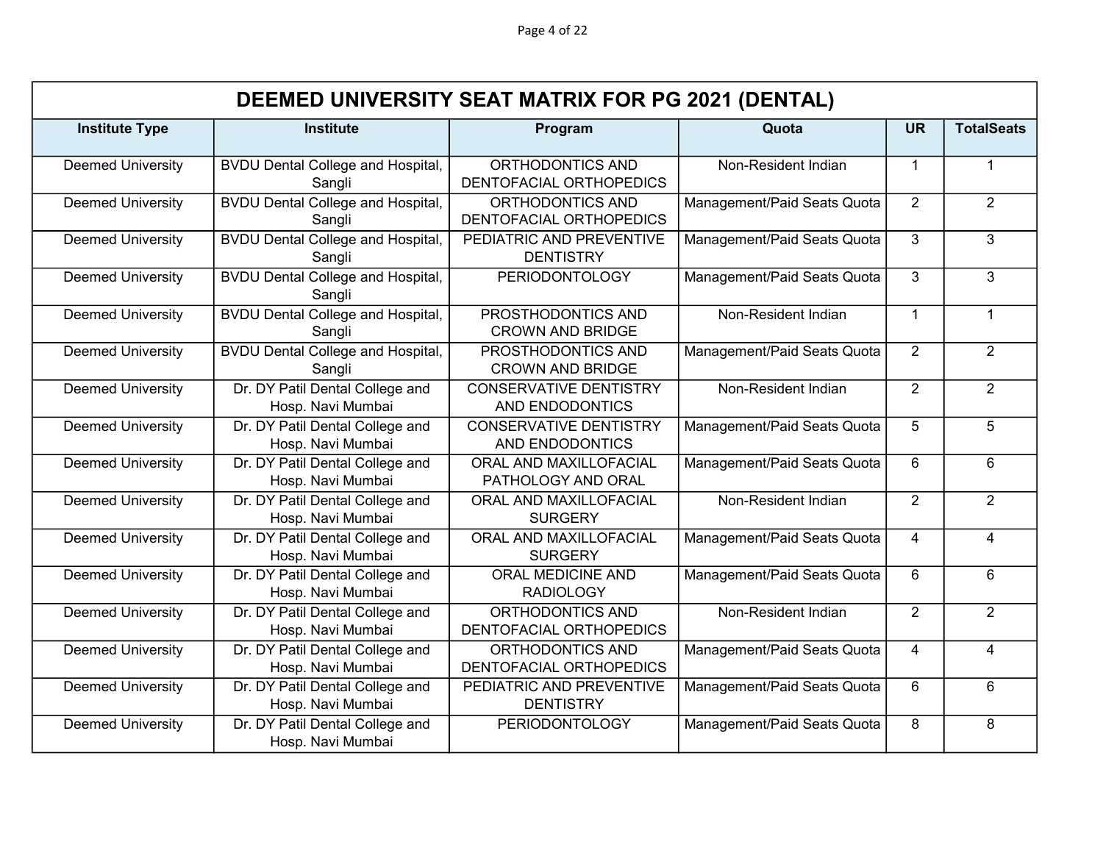Page 4 of 22

|                          | DEEMED UNIVERSITY SEAT MATRIX FOR PG 2021 (DENTAL)   |                                                         |                             |                |                   |  |  |
|--------------------------|------------------------------------------------------|---------------------------------------------------------|-----------------------------|----------------|-------------------|--|--|
| <b>Institute Type</b>    | <b>Institute</b>                                     | Program                                                 | Quota                       | <b>UR</b>      | <b>TotalSeats</b> |  |  |
| <b>Deemed University</b> | <b>BVDU Dental College and Hospital,</b><br>Sangli   | ORTHODONTICS AND<br>DENTOFACIAL ORTHOPEDICS             | Non-Resident Indian         | $\overline{1}$ | $\mathbf{1}$      |  |  |
| <b>Deemed University</b> | <b>BVDU Dental College and Hospital,</b><br>Sangli   | ORTHODONTICS AND<br>DENTOFACIAL ORTHOPEDICS             | Management/Paid Seats Quota | 2              | $\overline{2}$    |  |  |
| <b>Deemed University</b> | <b>BVDU Dental College and Hospital,</b><br>Sangli   | PEDIATRIC AND PREVENTIVE<br><b>DENTISTRY</b>            | Management/Paid Seats Quota | 3              | $\overline{3}$    |  |  |
| <b>Deemed University</b> | <b>BVDU Dental College and Hospital,</b><br>Sangli   | <b>PERIODONTOLOGY</b>                                   | Management/Paid Seats Quota | 3              | 3                 |  |  |
| <b>Deemed University</b> | <b>BVDU Dental College and Hospital,</b><br>Sangli   | PROSTHODONTICS AND<br><b>CROWN AND BRIDGE</b>           | Non-Resident Indian         | $\overline{1}$ | $\mathbf{1}$      |  |  |
| <b>Deemed University</b> | <b>BVDU Dental College and Hospital,</b><br>Sangli   | PROSTHODONTICS AND<br><b>CROWN AND BRIDGE</b>           | Management/Paid Seats Quota | 2              | $\overline{2}$    |  |  |
| <b>Deemed University</b> | Dr. DY Patil Dental College and<br>Hosp. Navi Mumbai | <b>CONSERVATIVE DENTISTRY</b><br><b>AND ENDODONTICS</b> | Non-Resident Indian         | $\overline{2}$ | $\overline{2}$    |  |  |
| <b>Deemed University</b> | Dr. DY Patil Dental College and<br>Hosp. Navi Mumbai | <b>CONSERVATIVE DENTISTRY</b><br>AND ENDODONTICS        | Management/Paid Seats Quota | 5              | 5                 |  |  |
| <b>Deemed University</b> | Dr. DY Patil Dental College and<br>Hosp. Navi Mumbai | ORAL AND MAXILLOFACIAL<br>PATHOLOGY AND ORAL            | Management/Paid Seats Quota | 6              | $6\phantom{1}$    |  |  |
| <b>Deemed University</b> | Dr. DY Patil Dental College and<br>Hosp. Navi Mumbai | ORAL AND MAXILLOFACIAL<br><b>SURGERY</b>                | Non-Resident Indian         | 2              | $\overline{2}$    |  |  |
| <b>Deemed University</b> | Dr. DY Patil Dental College and<br>Hosp. Navi Mumbai | ORAL AND MAXILLOFACIAL<br><b>SURGERY</b>                | Management/Paid Seats Quota | 4              | $\overline{4}$    |  |  |
| <b>Deemed University</b> | Dr. DY Patil Dental College and<br>Hosp. Navi Mumbai | <b>ORAL MEDICINE AND</b><br><b>RADIOLOGY</b>            | Management/Paid Seats Quota | 6              | 6                 |  |  |
| <b>Deemed University</b> | Dr. DY Patil Dental College and<br>Hosp. Navi Mumbai | ORTHODONTICS AND<br>DENTOFACIAL ORTHOPEDICS             | Non-Resident Indian         | 2              | $\overline{2}$    |  |  |
| <b>Deemed University</b> | Dr. DY Patil Dental College and<br>Hosp. Navi Mumbai | ORTHODONTICS AND<br>DENTOFACIAL ORTHOPEDICS             | Management/Paid Seats Quota | $\overline{4}$ | $\overline{4}$    |  |  |
| <b>Deemed University</b> | Dr. DY Patil Dental College and<br>Hosp. Navi Mumbai | PEDIATRIC AND PREVENTIVE<br><b>DENTISTRY</b>            | Management/Paid Seats Quota | 6              | $6\phantom{1}$    |  |  |
| <b>Deemed University</b> | Dr. DY Patil Dental College and<br>Hosp. Navi Mumbai | <b>PERIODONTOLOGY</b>                                   | Management/Paid Seats Quota | 8              | 8                 |  |  |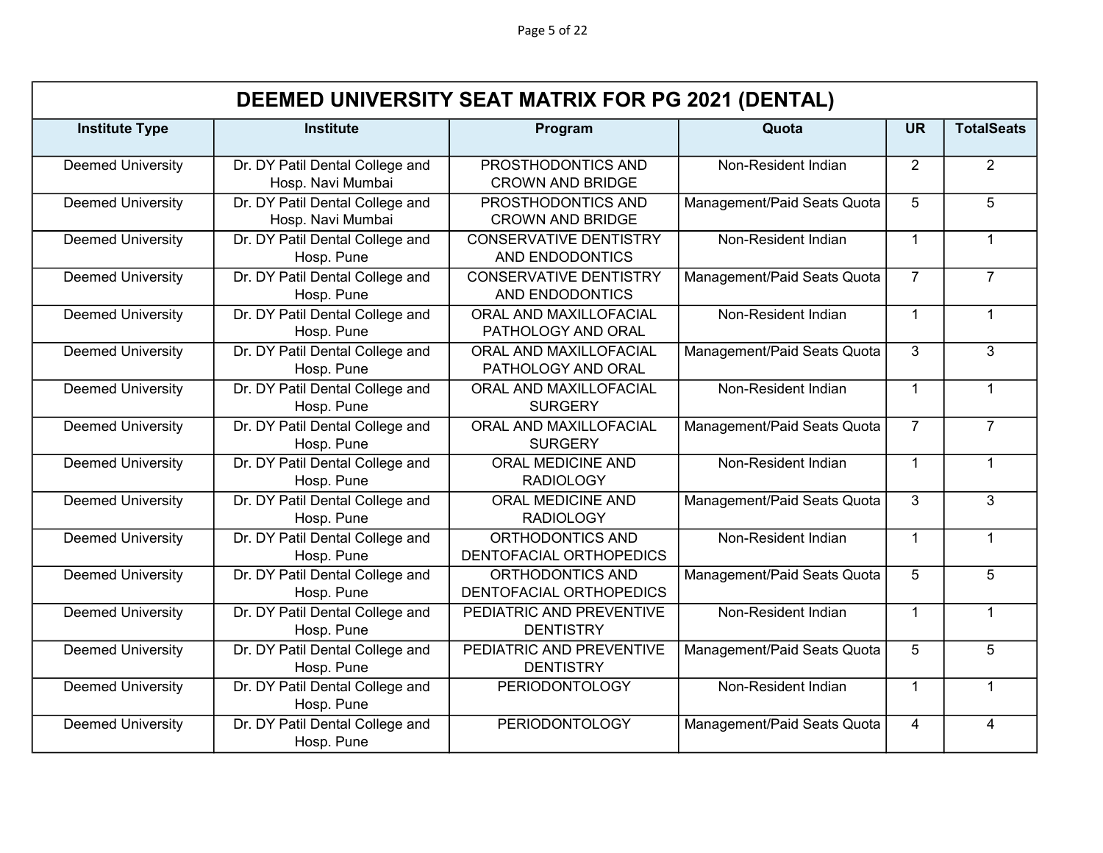|                          | DEEMED UNIVERSITY SEAT MATRIX FOR PG 2021 (DENTAL)   |                                                  |                             |                |                   |  |  |
|--------------------------|------------------------------------------------------|--------------------------------------------------|-----------------------------|----------------|-------------------|--|--|
| <b>Institute Type</b>    | <b>Institute</b>                                     | Program                                          | Quota                       | <b>UR</b>      | <b>TotalSeats</b> |  |  |
| <b>Deemed University</b> | Dr. DY Patil Dental College and<br>Hosp. Navi Mumbai | PROSTHODONTICS AND<br><b>CROWN AND BRIDGE</b>    | Non-Resident Indian         | 2              | $\overline{2}$    |  |  |
| <b>Deemed University</b> | Dr. DY Patil Dental College and<br>Hosp. Navi Mumbai | PROSTHODONTICS AND<br><b>CROWN AND BRIDGE</b>    | Management/Paid Seats Quota | 5              | 5                 |  |  |
| <b>Deemed University</b> | Dr. DY Patil Dental College and<br>Hosp. Pune        | <b>CONSERVATIVE DENTISTRY</b><br>AND ENDODONTICS | Non-Resident Indian         | $\mathbf{1}$   | $\mathbf{1}$      |  |  |
| <b>Deemed University</b> | Dr. DY Patil Dental College and<br>Hosp. Pune        | <b>CONSERVATIVE DENTISTRY</b><br>AND ENDODONTICS | Management/Paid Seats Quota | $\overline{7}$ | $\overline{7}$    |  |  |
| <b>Deemed University</b> | Dr. DY Patil Dental College and<br>Hosp. Pune        | ORAL AND MAXILLOFACIAL<br>PATHOLOGY AND ORAL     | Non-Resident Indian         | $\overline{1}$ | $\mathbf{1}$      |  |  |
| <b>Deemed University</b> | Dr. DY Patil Dental College and<br>Hosp. Pune        | ORAL AND MAXILLOFACIAL<br>PATHOLOGY AND ORAL     | Management/Paid Seats Quota | 3              | 3                 |  |  |
| <b>Deemed University</b> | Dr. DY Patil Dental College and<br>Hosp. Pune        | ORAL AND MAXILLOFACIAL<br><b>SURGERY</b>         | Non-Resident Indian         | $\mathbf{1}$   | $\mathbf{1}$      |  |  |
| <b>Deemed University</b> | Dr. DY Patil Dental College and<br>Hosp. Pune        | ORAL AND MAXILLOFACIAL<br><b>SURGERY</b>         | Management/Paid Seats Quota | $\overline{7}$ | $\overline{7}$    |  |  |
| <b>Deemed University</b> | Dr. DY Patil Dental College and<br>Hosp. Pune        | ORAL MEDICINE AND<br><b>RADIOLOGY</b>            | Non-Resident Indian         | $\overline{1}$ | $\mathbf{1}$      |  |  |
| <b>Deemed University</b> | Dr. DY Patil Dental College and<br>Hosp. Pune        | <b>ORAL MEDICINE AND</b><br><b>RADIOLOGY</b>     | Management/Paid Seats Quota | 3              | 3                 |  |  |
| <b>Deemed University</b> | Dr. DY Patil Dental College and<br>Hosp. Pune        | ORTHODONTICS AND<br>DENTOFACIAL ORTHOPEDICS      | Non-Resident Indian         | $\overline{1}$ | $\mathbf{1}$      |  |  |
| <b>Deemed University</b> | Dr. DY Patil Dental College and<br>Hosp. Pune        | ORTHODONTICS AND<br>DENTOFACIAL ORTHOPEDICS      | Management/Paid Seats Quota | 5              | 5                 |  |  |
| <b>Deemed University</b> | Dr. DY Patil Dental College and<br>Hosp. Pune        | PEDIATRIC AND PREVENTIVE<br><b>DENTISTRY</b>     | Non-Resident Indian         | $\mathbf{1}$   | $\mathbf{1}$      |  |  |
| <b>Deemed University</b> | Dr. DY Patil Dental College and<br>Hosp. Pune        | PEDIATRIC AND PREVENTIVE<br><b>DENTISTRY</b>     | Management/Paid Seats Quota | 5              | 5                 |  |  |
| <b>Deemed University</b> | Dr. DY Patil Dental College and<br>Hosp. Pune        | <b>PERIODONTOLOGY</b>                            | Non-Resident Indian         | $\mathbf{1}$   | $\mathbf{1}$      |  |  |
| <b>Deemed University</b> | Dr. DY Patil Dental College and<br>Hosp. Pune        | <b>PERIODONTOLOGY</b>                            | Management/Paid Seats Quota | $\overline{4}$ | $\overline{4}$    |  |  |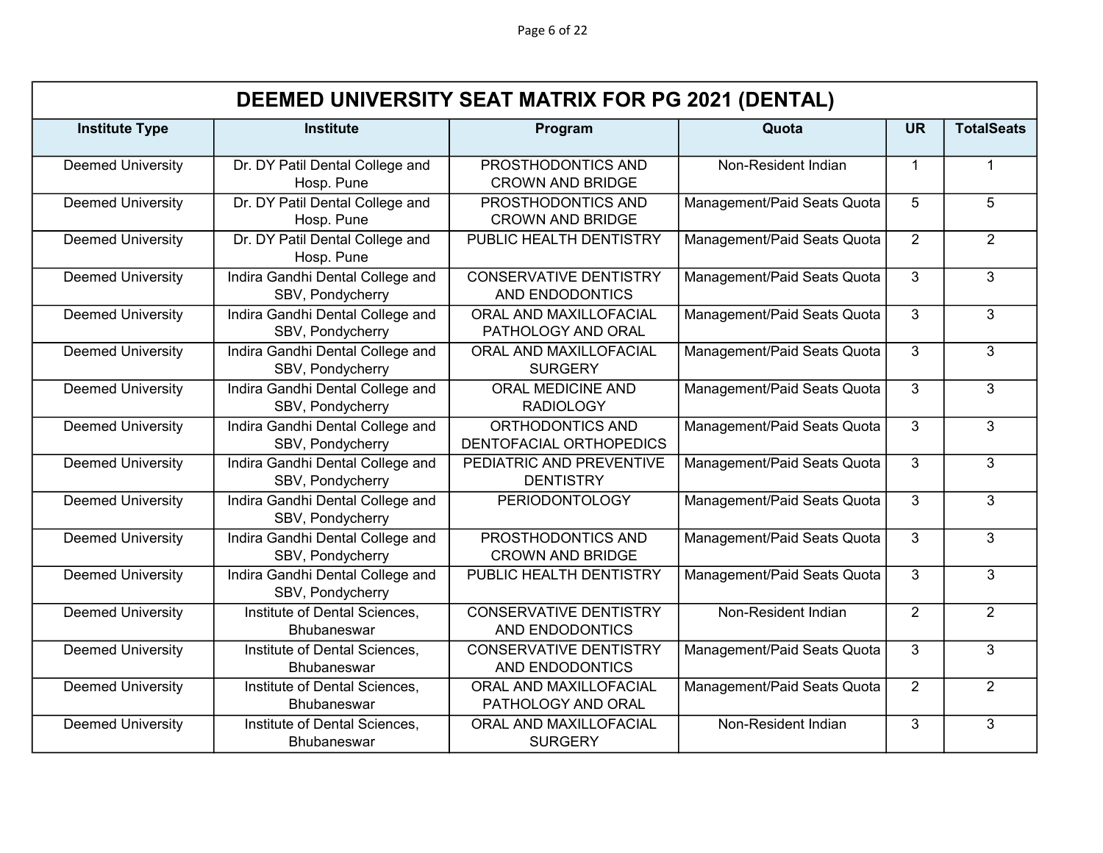Page 6 of 22

|                          | DEEMED UNIVERSITY SEAT MATRIX FOR PG 2021 (DENTAL)   |                                                         |                             |                |                   |  |  |  |
|--------------------------|------------------------------------------------------|---------------------------------------------------------|-----------------------------|----------------|-------------------|--|--|--|
| <b>Institute Type</b>    | <b>Institute</b>                                     | Program                                                 | Quota                       | <b>UR</b>      | <b>TotalSeats</b> |  |  |  |
| <b>Deemed University</b> | Dr. DY Patil Dental College and<br>Hosp. Pune        | PROSTHODONTICS AND<br><b>CROWN AND BRIDGE</b>           | Non-Resident Indian         | $\mathbf 1$    | 1                 |  |  |  |
| <b>Deemed University</b> | Dr. DY Patil Dental College and<br>Hosp. Pune        | PROSTHODONTICS AND<br><b>CROWN AND BRIDGE</b>           | Management/Paid Seats Quota | 5              | 5                 |  |  |  |
| <b>Deemed University</b> | Dr. DY Patil Dental College and<br>Hosp. Pune        | PUBLIC HEALTH DENTISTRY                                 | Management/Paid Seats Quota | 2              | $\overline{2}$    |  |  |  |
| <b>Deemed University</b> | Indira Gandhi Dental College and<br>SBV, Pondycherry | <b>CONSERVATIVE DENTISTRY</b><br>AND ENDODONTICS        | Management/Paid Seats Quota | 3              | $\overline{3}$    |  |  |  |
| <b>Deemed University</b> | Indira Gandhi Dental College and<br>SBV, Pondycherry | ORAL AND MAXILLOFACIAL<br>PATHOLOGY AND ORAL            | Management/Paid Seats Quota | $\mathcal{S}$  | 3                 |  |  |  |
| <b>Deemed University</b> | Indira Gandhi Dental College and<br>SBV, Pondycherry | ORAL AND MAXILLOFACIAL<br><b>SURGERY</b>                | Management/Paid Seats Quota | 3              | 3                 |  |  |  |
| <b>Deemed University</b> | Indira Gandhi Dental College and<br>SBV, Pondycherry | ORAL MEDICINE AND<br><b>RADIOLOGY</b>                   | Management/Paid Seats Quota | 3              | $\overline{3}$    |  |  |  |
| <b>Deemed University</b> | Indira Gandhi Dental College and<br>SBV, Pondycherry | ORTHODONTICS AND<br>DENTOFACIAL ORTHOPEDICS             | Management/Paid Seats Quota | 3              | 3                 |  |  |  |
| <b>Deemed University</b> | Indira Gandhi Dental College and<br>SBV, Pondycherry | PEDIATRIC AND PREVENTIVE<br><b>DENTISTRY</b>            | Management/Paid Seats Quota | 3              | 3                 |  |  |  |
| <b>Deemed University</b> | Indira Gandhi Dental College and<br>SBV, Pondycherry | <b>PERIODONTOLOGY</b>                                   | Management/Paid Seats Quota | 3              | 3                 |  |  |  |
| <b>Deemed University</b> | Indira Gandhi Dental College and<br>SBV, Pondycherry | PROSTHODONTICS AND<br><b>CROWN AND BRIDGE</b>           | Management/Paid Seats Quota | $\overline{3}$ | $\overline{3}$    |  |  |  |
| <b>Deemed University</b> | Indira Gandhi Dental College and<br>SBV, Pondycherry | PUBLIC HEALTH DENTISTRY                                 | Management/Paid Seats Quota | 3              | 3                 |  |  |  |
| <b>Deemed University</b> | Institute of Dental Sciences,<br><b>Bhubaneswar</b>  | <b>CONSERVATIVE DENTISTRY</b><br>AND ENDODONTICS        | Non-Resident Indian         | 2              | $\overline{2}$    |  |  |  |
| <b>Deemed University</b> | Institute of Dental Sciences,<br><b>Bhubaneswar</b>  | <b>CONSERVATIVE DENTISTRY</b><br><b>AND ENDODONTICS</b> | Management/Paid Seats Quota | $\overline{3}$ | $\overline{3}$    |  |  |  |
| <b>Deemed University</b> | Institute of Dental Sciences,<br><b>Bhubaneswar</b>  | ORAL AND MAXILLOFACIAL<br>PATHOLOGY AND ORAL            | Management/Paid Seats Quota | $\overline{2}$ | $\overline{2}$    |  |  |  |
| <b>Deemed University</b> | Institute of Dental Sciences,<br><b>Bhubaneswar</b>  | ORAL AND MAXILLOFACIAL<br><b>SURGERY</b>                | Non-Resident Indian         | 3              | 3                 |  |  |  |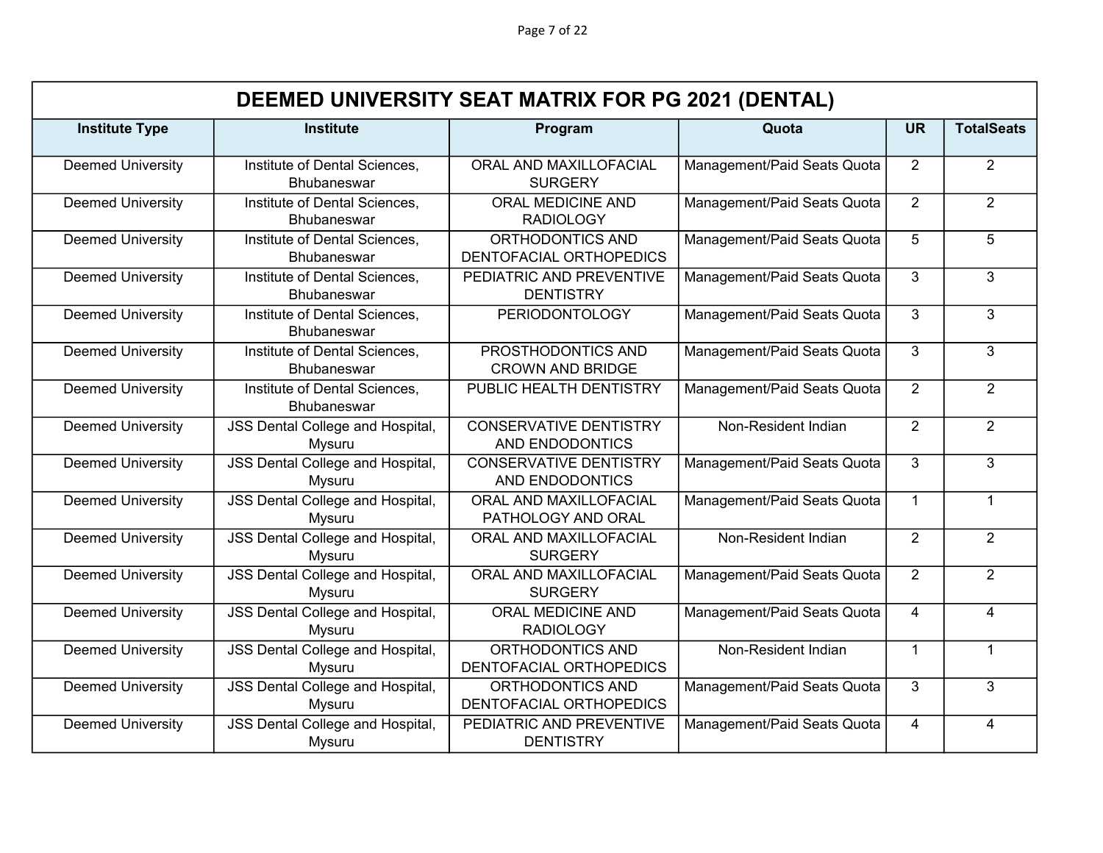Page 7 of 22

|                          |                                                     | DEEMED UNIVERSITY SEAT MATRIX FOR PG 2021 (DENTAL) |                             |                |                   |
|--------------------------|-----------------------------------------------------|----------------------------------------------------|-----------------------------|----------------|-------------------|
| <b>Institute Type</b>    | <b>Institute</b>                                    | Program                                            | Quota                       | <b>UR</b>      | <b>TotalSeats</b> |
| <b>Deemed University</b> | Institute of Dental Sciences,<br>Bhubaneswar        | ORAL AND MAXILLOFACIAL<br><b>SURGERY</b>           | Management/Paid Seats Quota | $\overline{2}$ | $\overline{2}$    |
| <b>Deemed University</b> | Institute of Dental Sciences,<br><b>Bhubaneswar</b> | <b>ORAL MEDICINE AND</b><br><b>RADIOLOGY</b>       | Management/Paid Seats Quota | $\overline{2}$ | $\overline{2}$    |
| <b>Deemed University</b> | Institute of Dental Sciences,<br><b>Bhubaneswar</b> | ORTHODONTICS AND<br>DENTOFACIAL ORTHOPEDICS        | Management/Paid Seats Quota | $\overline{5}$ | $\overline{5}$    |
| <b>Deemed University</b> | Institute of Dental Sciences,<br><b>Bhubaneswar</b> | PEDIATRIC AND PREVENTIVE<br><b>DENTISTRY</b>       | Management/Paid Seats Quota | 3              | 3                 |
| <b>Deemed University</b> | Institute of Dental Sciences,<br><b>Bhubaneswar</b> | <b>PERIODONTOLOGY</b>                              | Management/Paid Seats Quota | 3              | 3                 |
| <b>Deemed University</b> | Institute of Dental Sciences,<br><b>Bhubaneswar</b> | PROSTHODONTICS AND<br><b>CROWN AND BRIDGE</b>      | Management/Paid Seats Quota | 3              | 3                 |
| <b>Deemed University</b> | Institute of Dental Sciences,<br><b>Bhubaneswar</b> | PUBLIC HEALTH DENTISTRY                            | Management/Paid Seats Quota | $\overline{2}$ | $\overline{2}$    |
| <b>Deemed University</b> | JSS Dental College and Hospital,<br>Mysuru          | <b>CONSERVATIVE DENTISTRY</b><br>AND ENDODONTICS   | Non-Resident Indian         | $\overline{2}$ | $\overline{2}$    |
| <b>Deemed University</b> | JSS Dental College and Hospital,<br>Mysuru          | <b>CONSERVATIVE DENTISTRY</b><br>AND ENDODONTICS   | Management/Paid Seats Quota | 3              | 3                 |
| <b>Deemed University</b> | <b>JSS Dental College and Hospital,</b><br>Mysuru   | ORAL AND MAXILLOFACIAL<br>PATHOLOGY AND ORAL       | Management/Paid Seats Quota | $\mathbf{1}$   | $\mathbf{1}$      |
| <b>Deemed University</b> | <b>JSS Dental College and Hospital,</b><br>Mysuru   | ORAL AND MAXILLOFACIAL<br><b>SURGERY</b>           | Non-Resident Indian         | 2              | $\overline{2}$    |
| <b>Deemed University</b> | <b>JSS Dental College and Hospital,</b><br>Mysuru   | ORAL AND MAXILLOFACIAL<br><b>SURGERY</b>           | Management/Paid Seats Quota | $\overline{2}$ | $\overline{2}$    |
| <b>Deemed University</b> | JSS Dental College and Hospital,<br>Mysuru          | ORAL MEDICINE AND<br><b>RADIOLOGY</b>              | Management/Paid Seats Quota | 4              | $\overline{4}$    |
| <b>Deemed University</b> | <b>JSS Dental College and Hospital,</b><br>Mysuru   | ORTHODONTICS AND<br>DENTOFACIAL ORTHOPEDICS        | Non-Resident Indian         | $\mathbf 1$    | $\mathbf{1}$      |
| <b>Deemed University</b> | JSS Dental College and Hospital,<br>Mysuru          | ORTHODONTICS AND<br>DENTOFACIAL ORTHOPEDICS        | Management/Paid Seats Quota | 3              | 3                 |
| <b>Deemed University</b> | JSS Dental College and Hospital,<br>Mysuru          | PEDIATRIC AND PREVENTIVE<br><b>DENTISTRY</b>       | Management/Paid Seats Quota | 4              | $\overline{4}$    |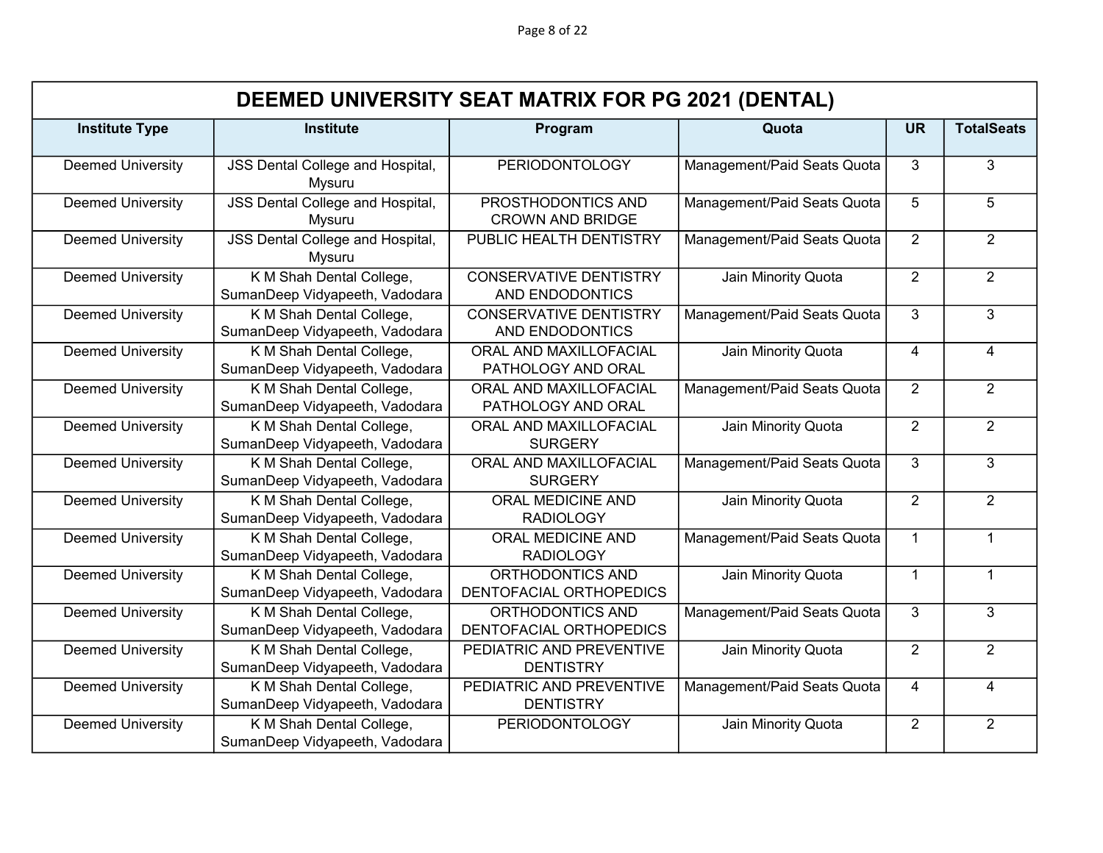Page 8 of 22

|                          | DEEMED UNIVERSITY SEAT MATRIX FOR PG 2021 (DENTAL)         |                                                  |                             |                |                   |  |  |
|--------------------------|------------------------------------------------------------|--------------------------------------------------|-----------------------------|----------------|-------------------|--|--|
| <b>Institute Type</b>    | <b>Institute</b>                                           | Program                                          | Quota                       | <b>UR</b>      | <b>TotalSeats</b> |  |  |
| <b>Deemed University</b> | JSS Dental College and Hospital,<br>Mysuru                 | <b>PERIODONTOLOGY</b>                            | Management/Paid Seats Quota | 3              | 3                 |  |  |
| <b>Deemed University</b> | <b>JSS Dental College and Hospital,</b><br>Mysuru          | PROSTHODONTICS AND<br><b>CROWN AND BRIDGE</b>    | Management/Paid Seats Quota | 5              | 5                 |  |  |
| <b>Deemed University</b> | <b>JSS Dental College and Hospital,</b><br>Mysuru          | PUBLIC HEALTH DENTISTRY                          | Management/Paid Seats Quota | $\overline{2}$ | $\overline{2}$    |  |  |
| <b>Deemed University</b> | K M Shah Dental College,<br>SumanDeep Vidyapeeth, Vadodara | <b>CONSERVATIVE DENTISTRY</b><br>AND ENDODONTICS | Jain Minority Quota         | 2              | $\overline{2}$    |  |  |
| <b>Deemed University</b> | K M Shah Dental College,<br>SumanDeep Vidyapeeth, Vadodara | <b>CONSERVATIVE DENTISTRY</b><br>AND ENDODONTICS | Management/Paid Seats Quota | 3              | 3                 |  |  |
| <b>Deemed University</b> | K M Shah Dental College,<br>SumanDeep Vidyapeeth, Vadodara | ORAL AND MAXILLOFACIAL<br>PATHOLOGY AND ORAL     | Jain Minority Quota         | 4              | $\overline{4}$    |  |  |
| <b>Deemed University</b> | K M Shah Dental College,<br>SumanDeep Vidyapeeth, Vadodara | ORAL AND MAXILLOFACIAL<br>PATHOLOGY AND ORAL     | Management/Paid Seats Quota | $\overline{2}$ | $\overline{2}$    |  |  |
| <b>Deemed University</b> | K M Shah Dental College,<br>SumanDeep Vidyapeeth, Vadodara | ORAL AND MAXILLOFACIAL<br><b>SURGERY</b>         | Jain Minority Quota         | $\overline{2}$ | $\overline{2}$    |  |  |
| <b>Deemed University</b> | K M Shah Dental College,<br>SumanDeep Vidyapeeth, Vadodara | ORAL AND MAXILLOFACIAL<br><b>SURGERY</b>         | Management/Paid Seats Quota | 3              | 3                 |  |  |
| <b>Deemed University</b> | K M Shah Dental College,<br>SumanDeep Vidyapeeth, Vadodara | <b>ORAL MEDICINE AND</b><br><b>RADIOLOGY</b>     | Jain Minority Quota         | $\overline{2}$ | $\overline{2}$    |  |  |
| <b>Deemed University</b> | K M Shah Dental College,<br>SumanDeep Vidyapeeth, Vadodara | <b>ORAL MEDICINE AND</b><br><b>RADIOLOGY</b>     | Management/Paid Seats Quota | $\mathbf{1}$   | $\mathbf{1}$      |  |  |
| <b>Deemed University</b> | K M Shah Dental College,<br>SumanDeep Vidyapeeth, Vadodara | ORTHODONTICS AND<br>DENTOFACIAL ORTHOPEDICS      | Jain Minority Quota         | $\mathbf{1}$   | 1                 |  |  |
| <b>Deemed University</b> | K M Shah Dental College,<br>SumanDeep Vidyapeeth, Vadodara | ORTHODONTICS AND<br>DENTOFACIAL ORTHOPEDICS      | Management/Paid Seats Quota | 3              | $\overline{3}$    |  |  |
| <b>Deemed University</b> | K M Shah Dental College,<br>SumanDeep Vidyapeeth, Vadodara | PEDIATRIC AND PREVENTIVE<br><b>DENTISTRY</b>     | Jain Minority Quota         | 2              | $\overline{2}$    |  |  |
| <b>Deemed University</b> | K M Shah Dental College,<br>SumanDeep Vidyapeeth, Vadodara | PEDIATRIC AND PREVENTIVE<br><b>DENTISTRY</b>     | Management/Paid Seats Quota | 4              | $\overline{4}$    |  |  |
| <b>Deemed University</b> | K M Shah Dental College,<br>SumanDeep Vidyapeeth, Vadodara | <b>PERIODONTOLOGY</b>                            | Jain Minority Quota         | 2              | $\overline{2}$    |  |  |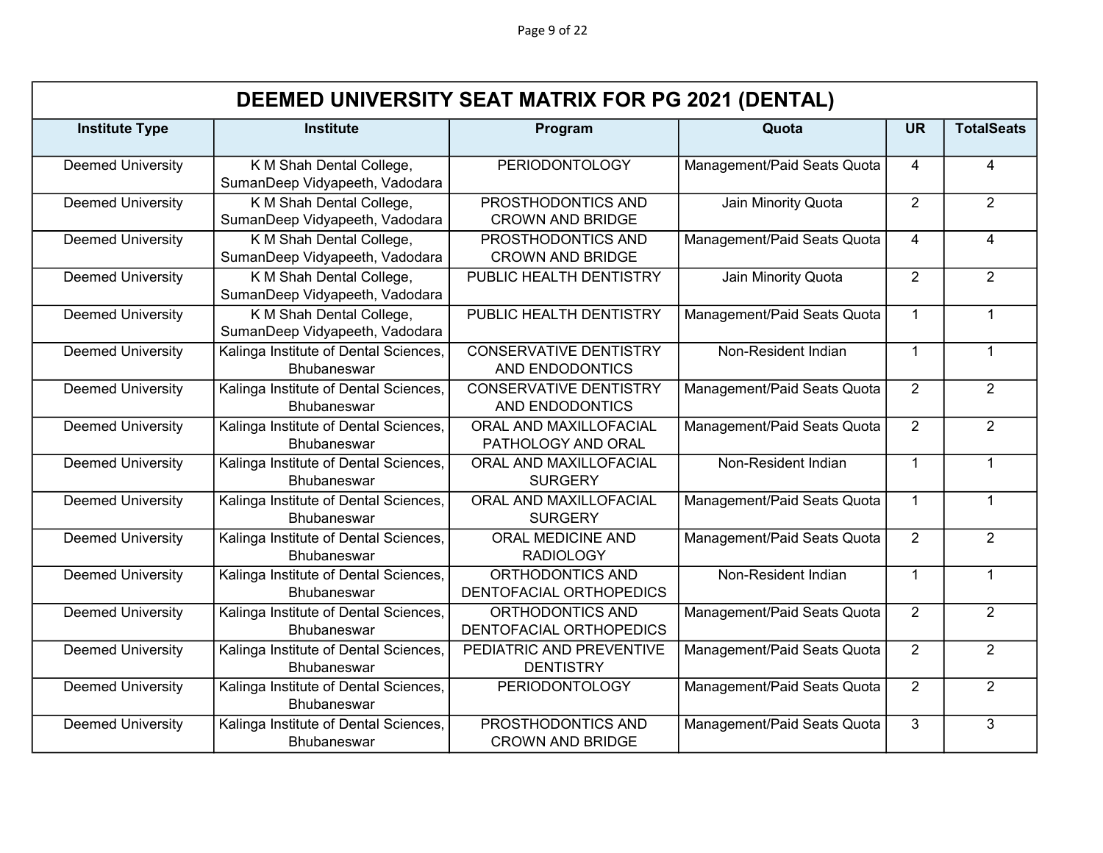|                          | DEEMED UNIVERSITY SEAT MATRIX FOR PG 2021 (DENTAL)          |                                                  |                             |                |                   |  |  |
|--------------------------|-------------------------------------------------------------|--------------------------------------------------|-----------------------------|----------------|-------------------|--|--|
| <b>Institute Type</b>    | <b>Institute</b>                                            | Program                                          | Quota                       | <b>UR</b>      | <b>TotalSeats</b> |  |  |
| <b>Deemed University</b> | K M Shah Dental College,<br>SumanDeep Vidyapeeth, Vadodara  | <b>PERIODONTOLOGY</b>                            | Management/Paid Seats Quota | $\overline{4}$ | $\overline{4}$    |  |  |
| <b>Deemed University</b> | K M Shah Dental College,<br>SumanDeep Vidyapeeth, Vadodara  | PROSTHODONTICS AND<br><b>CROWN AND BRIDGE</b>    | Jain Minority Quota         | 2              | $\overline{2}$    |  |  |
| <b>Deemed University</b> | K M Shah Dental College,<br>SumanDeep Vidyapeeth, Vadodara  | PROSTHODONTICS AND<br><b>CROWN AND BRIDGE</b>    | Management/Paid Seats Quota | 4              | 4                 |  |  |
| <b>Deemed University</b> | K M Shah Dental College,<br>SumanDeep Vidyapeeth, Vadodara  | PUBLIC HEALTH DENTISTRY                          | Jain Minority Quota         | 2              | $\overline{2}$    |  |  |
| <b>Deemed University</b> | K M Shah Dental College,<br>SumanDeep Vidyapeeth, Vadodara  | PUBLIC HEALTH DENTISTRY                          | Management/Paid Seats Quota | $\mathbf{1}$   | $\mathbf{1}$      |  |  |
| <b>Deemed University</b> | Kalinga Institute of Dental Sciences,<br>Bhubaneswar        | <b>CONSERVATIVE DENTISTRY</b><br>AND ENDODONTICS | Non-Resident Indian         | $\mathbf{1}$   | $\mathbf{1}$      |  |  |
| <b>Deemed University</b> | Kalinga Institute of Dental Sciences,<br><b>Bhubaneswar</b> | <b>CONSERVATIVE DENTISTRY</b><br>AND ENDODONTICS | Management/Paid Seats Quota | 2              | $\overline{2}$    |  |  |
| <b>Deemed University</b> | Kalinga Institute of Dental Sciences,<br>Bhubaneswar        | ORAL AND MAXILLOFACIAL<br>PATHOLOGY AND ORAL     | Management/Paid Seats Quota | $\overline{2}$ | $\overline{2}$    |  |  |
| <b>Deemed University</b> | Kalinga Institute of Dental Sciences,<br><b>Bhubaneswar</b> | ORAL AND MAXILLOFACIAL<br><b>SURGERY</b>         | Non-Resident Indian         | $\mathbf{1}$   | $\mathbf{1}$      |  |  |
| <b>Deemed University</b> | Kalinga Institute of Dental Sciences,<br><b>Bhubaneswar</b> | ORAL AND MAXILLOFACIAL<br><b>SURGERY</b>         | Management/Paid Seats Quota | $\mathbf{1}$   | $\mathbf{1}$      |  |  |
| <b>Deemed University</b> | Kalinga Institute of Dental Sciences,<br><b>Bhubaneswar</b> | <b>ORAL MEDICINE AND</b><br><b>RADIOLOGY</b>     | Management/Paid Seats Quota | $\overline{2}$ | $\overline{2}$    |  |  |
| <b>Deemed University</b> | Kalinga Institute of Dental Sciences,<br>Bhubaneswar        | ORTHODONTICS AND<br>DENTOFACIAL ORTHOPEDICS      | Non-Resident Indian         | $\mathbf{1}$   | $\mathbf{1}$      |  |  |
| <b>Deemed University</b> | Kalinga Institute of Dental Sciences,<br><b>Bhubaneswar</b> | ORTHODONTICS AND<br>DENTOFACIAL ORTHOPEDICS      | Management/Paid Seats Quota | $\overline{2}$ | $\overline{2}$    |  |  |
| <b>Deemed University</b> | Kalinga Institute of Dental Sciences,<br><b>Bhubaneswar</b> | PEDIATRIC AND PREVENTIVE<br><b>DENTISTRY</b>     | Management/Paid Seats Quota | $\overline{2}$ | $\overline{2}$    |  |  |
| <b>Deemed University</b> | Kalinga Institute of Dental Sciences,<br><b>Bhubaneswar</b> | <b>PERIODONTOLOGY</b>                            | Management/Paid Seats Quota | $\overline{2}$ | $\overline{2}$    |  |  |
| <b>Deemed University</b> | Kalinga Institute of Dental Sciences,<br><b>Bhubaneswar</b> | PROSTHODONTICS AND<br><b>CROWN AND BRIDGE</b>    | Management/Paid Seats Quota | 3              | 3                 |  |  |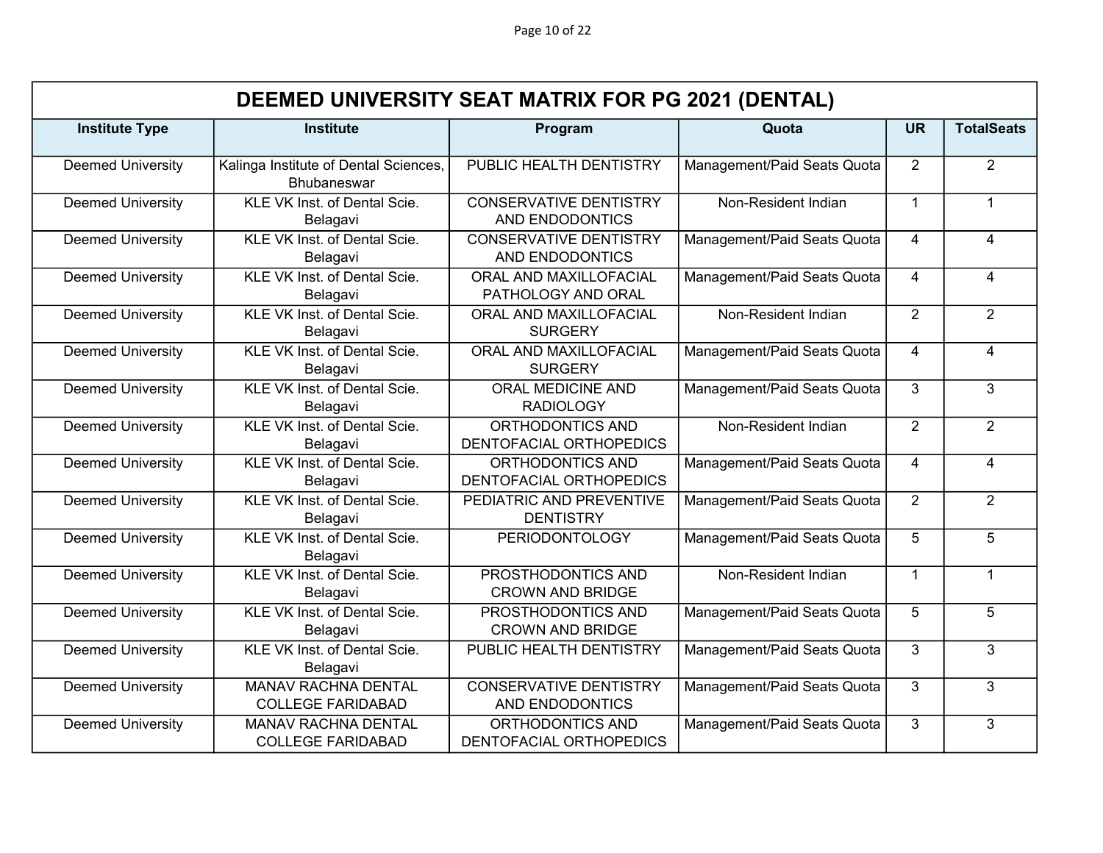Page 10 of 22

|                          | DEEMED UNIVERSITY SEAT MATRIX FOR PG 2021 (DENTAL)          |                                                  |                             |                |                   |  |  |
|--------------------------|-------------------------------------------------------------|--------------------------------------------------|-----------------------------|----------------|-------------------|--|--|
| <b>Institute Type</b>    | <b>Institute</b>                                            | Program                                          | Quota                       | <b>UR</b>      | <b>TotalSeats</b> |  |  |
| <b>Deemed University</b> | Kalinga Institute of Dental Sciences,<br><b>Bhubaneswar</b> | PUBLIC HEALTH DENTISTRY                          | Management/Paid Seats Quota | 2              | $\overline{2}$    |  |  |
| <b>Deemed University</b> | KLE VK Inst. of Dental Scie.<br>Belagavi                    | <b>CONSERVATIVE DENTISTRY</b><br>AND ENDODONTICS | Non-Resident Indian         | $\mathbf 1$    | $\mathbf 1$       |  |  |
| <b>Deemed University</b> | KLE VK Inst. of Dental Scie.<br>Belagavi                    | <b>CONSERVATIVE DENTISTRY</b><br>AND ENDODONTICS | Management/Paid Seats Quota | 4              | $\overline{4}$    |  |  |
| <b>Deemed University</b> | KLE VK Inst. of Dental Scie.<br>Belagavi                    | ORAL AND MAXILLOFACIAL<br>PATHOLOGY AND ORAL     | Management/Paid Seats Quota | $\overline{4}$ | $\overline{4}$    |  |  |
| <b>Deemed University</b> | KLE VK Inst. of Dental Scie.<br>Belagavi                    | ORAL AND MAXILLOFACIAL<br><b>SURGERY</b>         | Non-Resident Indian         | 2              | $\overline{2}$    |  |  |
| <b>Deemed University</b> | KLE VK Inst. of Dental Scie.<br>Belagavi                    | ORAL AND MAXILLOFACIAL<br><b>SURGERY</b>         | Management/Paid Seats Quota | $\overline{4}$ | $\overline{4}$    |  |  |
| <b>Deemed University</b> | KLE VK Inst. of Dental Scie.<br>Belagavi                    | ORAL MEDICINE AND<br><b>RADIOLOGY</b>            | Management/Paid Seats Quota | 3              | 3                 |  |  |
| <b>Deemed University</b> | KLE VK Inst. of Dental Scie.<br>Belagavi                    | ORTHODONTICS AND<br>DENTOFACIAL ORTHOPEDICS      | Non-Resident Indian         | $\overline{2}$ | $\overline{2}$    |  |  |
| <b>Deemed University</b> | KLE VK Inst. of Dental Scie.<br>Belagavi                    | ORTHODONTICS AND<br>DENTOFACIAL ORTHOPEDICS      | Management/Paid Seats Quota | $\overline{4}$ | $\overline{4}$    |  |  |
| <b>Deemed University</b> | KLE VK Inst. of Dental Scie.<br>Belagavi                    | PEDIATRIC AND PREVENTIVE<br><b>DENTISTRY</b>     | Management/Paid Seats Quota | 2              | $\overline{2}$    |  |  |
| <b>Deemed University</b> | KLE VK Inst. of Dental Scie.<br>Belagavi                    | <b>PERIODONTOLOGY</b>                            | Management/Paid Seats Quota | 5              | 5                 |  |  |
| <b>Deemed University</b> | KLE VK Inst. of Dental Scie.<br>Belagavi                    | PROSTHODONTICS AND<br><b>CROWN AND BRIDGE</b>    | Non-Resident Indian         | $\mathbf{1}$   | $\mathbf{1}$      |  |  |
| <b>Deemed University</b> | KLE VK Inst. of Dental Scie.<br>Belagavi                    | PROSTHODONTICS AND<br><b>CROWN AND BRIDGE</b>    | Management/Paid Seats Quota | 5              | $\overline{5}$    |  |  |
| <b>Deemed University</b> | KLE VK Inst. of Dental Scie.<br>Belagavi                    | PUBLIC HEALTH DENTISTRY                          | Management/Paid Seats Quota | 3              | $\overline{3}$    |  |  |
| <b>Deemed University</b> | <b>MANAV RACHNA DENTAL</b><br><b>COLLEGE FARIDABAD</b>      | <b>CONSERVATIVE DENTISTRY</b><br>AND ENDODONTICS | Management/Paid Seats Quota | 3              | $\overline{3}$    |  |  |
| <b>Deemed University</b> | MANAV RACHNA DENTAL<br><b>COLLEGE FARIDABAD</b>             | ORTHODONTICS AND<br>DENTOFACIAL ORTHOPEDICS      | Management/Paid Seats Quota | 3              | $\overline{3}$    |  |  |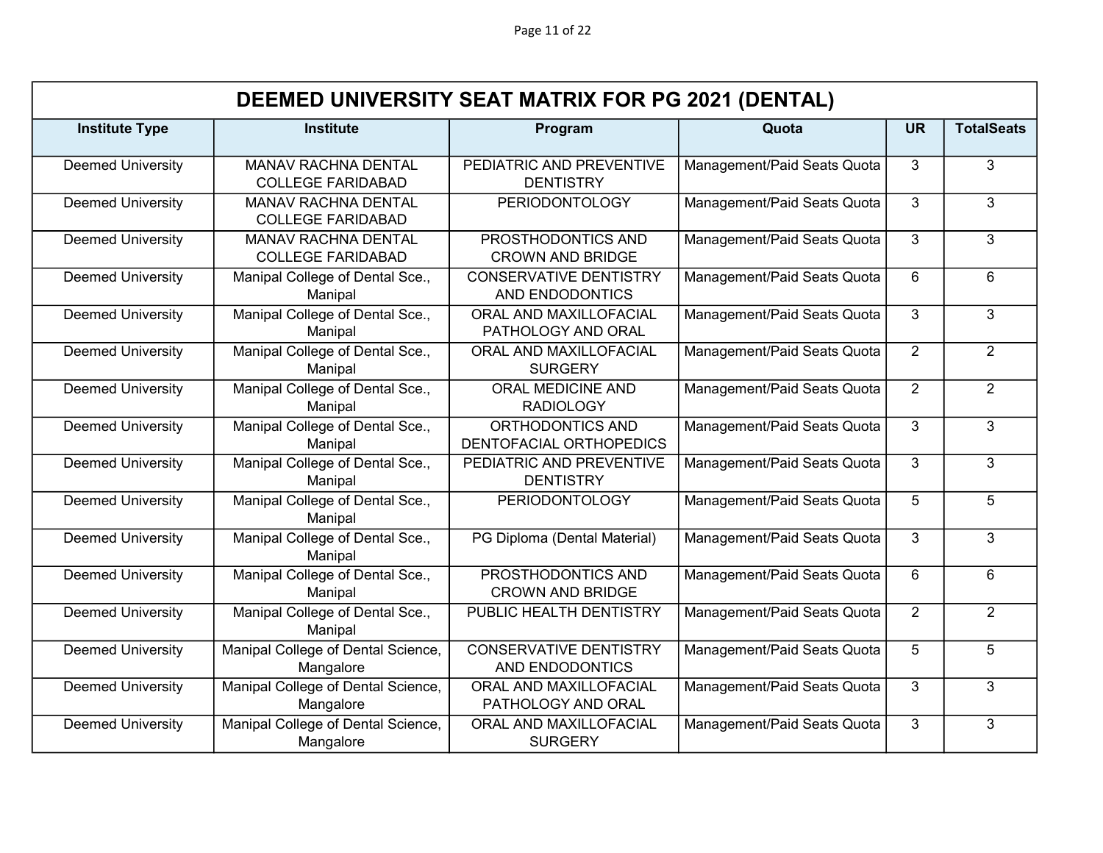|                          | DEEMED UNIVERSITY SEAT MATRIX FOR PG 2021 (DENTAL) |                                                  |                             |                 |                   |  |  |
|--------------------------|----------------------------------------------------|--------------------------------------------------|-----------------------------|-----------------|-------------------|--|--|
| <b>Institute Type</b>    | <b>Institute</b>                                   | Program                                          | Quota                       | <b>UR</b>       | <b>TotalSeats</b> |  |  |
| <b>Deemed University</b> | MANAV RACHNA DENTAL<br><b>COLLEGE FARIDABAD</b>    | PEDIATRIC AND PREVENTIVE<br><b>DENTISTRY</b>     | Management/Paid Seats Quota | 3               | 3                 |  |  |
| <b>Deemed University</b> | MANAV RACHNA DENTAL<br><b>COLLEGE FARIDABAD</b>    | <b>PERIODONTOLOGY</b>                            | Management/Paid Seats Quota | 3               | 3                 |  |  |
| <b>Deemed University</b> | MANAV RACHNA DENTAL<br><b>COLLEGE FARIDABAD</b>    | PROSTHODONTICS AND<br><b>CROWN AND BRIDGE</b>    | Management/Paid Seats Quota | 3               | $\overline{3}$    |  |  |
| <b>Deemed University</b> | Manipal College of Dental Sce.,<br>Manipal         | <b>CONSERVATIVE DENTISTRY</b><br>AND ENDODONTICS | Management/Paid Seats Quota | 6               | 6                 |  |  |
| <b>Deemed University</b> | Manipal College of Dental Sce.,<br>Manipal         | ORAL AND MAXILLOFACIAL<br>PATHOLOGY AND ORAL     | Management/Paid Seats Quota | 3               | 3                 |  |  |
| <b>Deemed University</b> | Manipal College of Dental Sce.,<br>Manipal         | ORAL AND MAXILLOFACIAL<br><b>SURGERY</b>         | Management/Paid Seats Quota | 2               | $\overline{2}$    |  |  |
| <b>Deemed University</b> | Manipal College of Dental Sce.,<br>Manipal         | ORAL MEDICINE AND<br><b>RADIOLOGY</b>            | Management/Paid Seats Quota | $\overline{2}$  | $\overline{2}$    |  |  |
| <b>Deemed University</b> | Manipal College of Dental Sce.,<br>Manipal         | ORTHODONTICS AND<br>DENTOFACIAL ORTHOPEDICS      | Management/Paid Seats Quota | 3               | 3                 |  |  |
| <b>Deemed University</b> | Manipal College of Dental Sce.,<br>Manipal         | PEDIATRIC AND PREVENTIVE<br><b>DENTISTRY</b>     | Management/Paid Seats Quota | 3               | 3                 |  |  |
| <b>Deemed University</b> | Manipal College of Dental Sce.,<br>Manipal         | <b>PERIODONTOLOGY</b>                            | Management/Paid Seats Quota | 5               | 5                 |  |  |
| <b>Deemed University</b> | Manipal College of Dental Sce.,<br>Manipal         | PG Diploma (Dental Material)                     | Management/Paid Seats Quota | 3               | $\overline{3}$    |  |  |
| <b>Deemed University</b> | Manipal College of Dental Sce.,<br>Manipal         | PROSTHODONTICS AND<br><b>CROWN AND BRIDGE</b>    | Management/Paid Seats Quota | 6               | 6                 |  |  |
| <b>Deemed University</b> | Manipal College of Dental Sce.,<br>Manipal         | PUBLIC HEALTH DENTISTRY                          | Management/Paid Seats Quota | $\overline{2}$  | $\overline{2}$    |  |  |
| <b>Deemed University</b> | Manipal College of Dental Science,<br>Mangalore    | <b>CONSERVATIVE DENTISTRY</b><br>AND ENDODONTICS | Management/Paid Seats Quota | $5\overline{)}$ | $\overline{5}$    |  |  |
| <b>Deemed University</b> | Manipal College of Dental Science,<br>Mangalore    | ORAL AND MAXILLOFACIAL<br>PATHOLOGY AND ORAL     | Management/Paid Seats Quota | 3               | 3                 |  |  |
| <b>Deemed University</b> | Manipal College of Dental Science,<br>Mangalore    | ORAL AND MAXILLOFACIAL<br><b>SURGERY</b>         | Management/Paid Seats Quota | 3               | 3                 |  |  |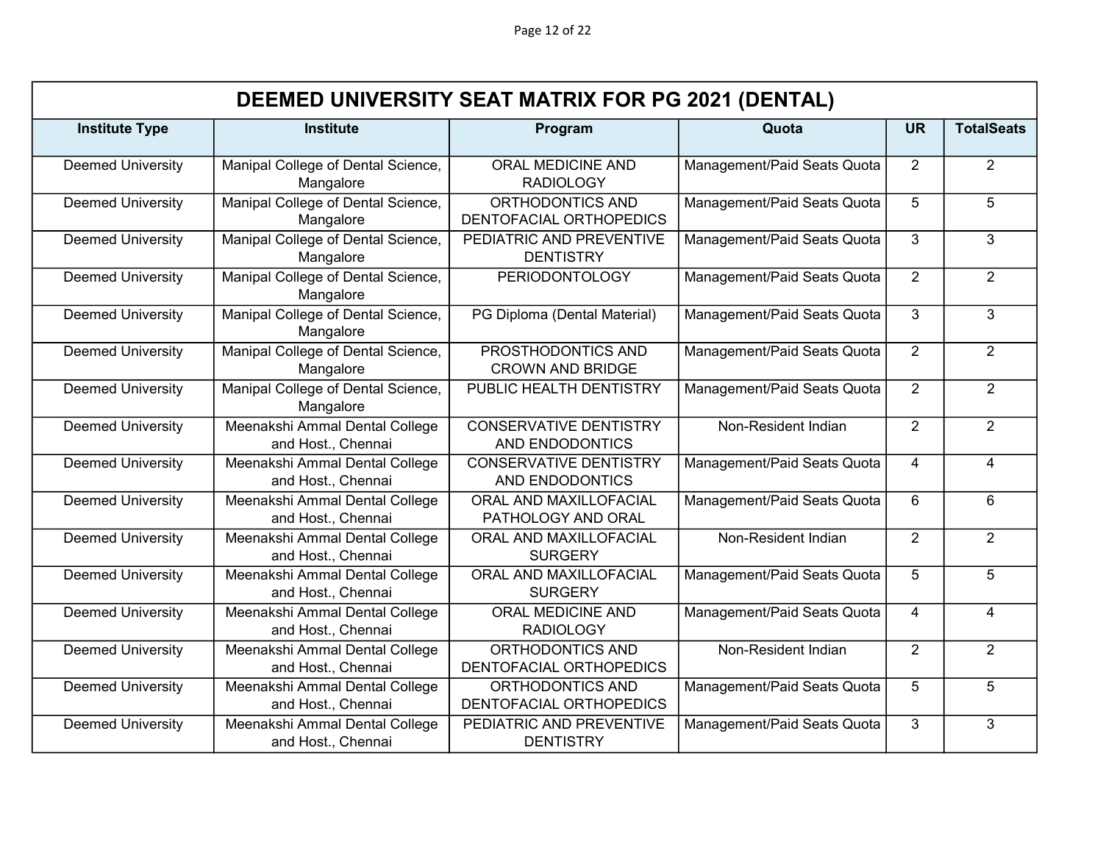Page 12 of 22

|                          | DEEMED UNIVERSITY SEAT MATRIX FOR PG 2021 (DENTAL)   |                                                  |                             |                |                   |  |  |  |
|--------------------------|------------------------------------------------------|--------------------------------------------------|-----------------------------|----------------|-------------------|--|--|--|
| <b>Institute Type</b>    | <b>Institute</b>                                     | Program                                          | Quota                       | <b>UR</b>      | <b>TotalSeats</b> |  |  |  |
| <b>Deemed University</b> | Manipal College of Dental Science,<br>Mangalore      | ORAL MEDICINE AND<br><b>RADIOLOGY</b>            | Management/Paid Seats Quota | 2              | 2                 |  |  |  |
| <b>Deemed University</b> | Manipal College of Dental Science,<br>Mangalore      | ORTHODONTICS AND<br>DENTOFACIAL ORTHOPEDICS      | Management/Paid Seats Quota | 5              | $\overline{5}$    |  |  |  |
| <b>Deemed University</b> | Manipal College of Dental Science,<br>Mangalore      | PEDIATRIC AND PREVENTIVE<br><b>DENTISTRY</b>     | Management/Paid Seats Quota | 3              | $\overline{3}$    |  |  |  |
| <b>Deemed University</b> | Manipal College of Dental Science,<br>Mangalore      | <b>PERIODONTOLOGY</b>                            | Management/Paid Seats Quota | 2              | $\overline{2}$    |  |  |  |
| <b>Deemed University</b> | Manipal College of Dental Science,<br>Mangalore      | PG Diploma (Dental Material)                     | Management/Paid Seats Quota | 3              | 3                 |  |  |  |
| <b>Deemed University</b> | Manipal College of Dental Science,<br>Mangalore      | PROSTHODONTICS AND<br><b>CROWN AND BRIDGE</b>    | Management/Paid Seats Quota | 2              | $\overline{2}$    |  |  |  |
| <b>Deemed University</b> | Manipal College of Dental Science,<br>Mangalore      | PUBLIC HEALTH DENTISTRY                          | Management/Paid Seats Quota | $\overline{2}$ | $\overline{2}$    |  |  |  |
| <b>Deemed University</b> | Meenakshi Ammal Dental College<br>and Host., Chennai | <b>CONSERVATIVE DENTISTRY</b><br>AND ENDODONTICS | Non-Resident Indian         | $\overline{2}$ | $\overline{2}$    |  |  |  |
| <b>Deemed University</b> | Meenakshi Ammal Dental College<br>and Host., Chennai | <b>CONSERVATIVE DENTISTRY</b><br>AND ENDODONTICS | Management/Paid Seats Quota | 4              | $\overline{4}$    |  |  |  |
| <b>Deemed University</b> | Meenakshi Ammal Dental College<br>and Host., Chennai | ORAL AND MAXILLOFACIAL<br>PATHOLOGY AND ORAL     | Management/Paid Seats Quota | 6              | 6                 |  |  |  |
| <b>Deemed University</b> | Meenakshi Ammal Dental College<br>and Host., Chennai | ORAL AND MAXILLOFACIAL<br><b>SURGERY</b>         | Non-Resident Indian         | $\overline{2}$ | $\overline{2}$    |  |  |  |
| <b>Deemed University</b> | Meenakshi Ammal Dental College<br>and Host., Chennai | ORAL AND MAXILLOFACIAL<br><b>SURGERY</b>         | Management/Paid Seats Quota | 5              | 5                 |  |  |  |
| <b>Deemed University</b> | Meenakshi Ammal Dental College<br>and Host., Chennai | ORAL MEDICINE AND<br><b>RADIOLOGY</b>            | Management/Paid Seats Quota | 4              | $\overline{4}$    |  |  |  |
| <b>Deemed University</b> | Meenakshi Ammal Dental College<br>and Host., Chennai | ORTHODONTICS AND<br>DENTOFACIAL ORTHOPEDICS      | Non-Resident Indian         | $\overline{2}$ | $\overline{2}$    |  |  |  |
| <b>Deemed University</b> | Meenakshi Ammal Dental College<br>and Host., Chennai | ORTHODONTICS AND<br>DENTOFACIAL ORTHOPEDICS      | Management/Paid Seats Quota | 5              | 5                 |  |  |  |
| <b>Deemed University</b> | Meenakshi Ammal Dental College<br>and Host., Chennai | PEDIATRIC AND PREVENTIVE<br><b>DENTISTRY</b>     | Management/Paid Seats Quota | 3              | 3                 |  |  |  |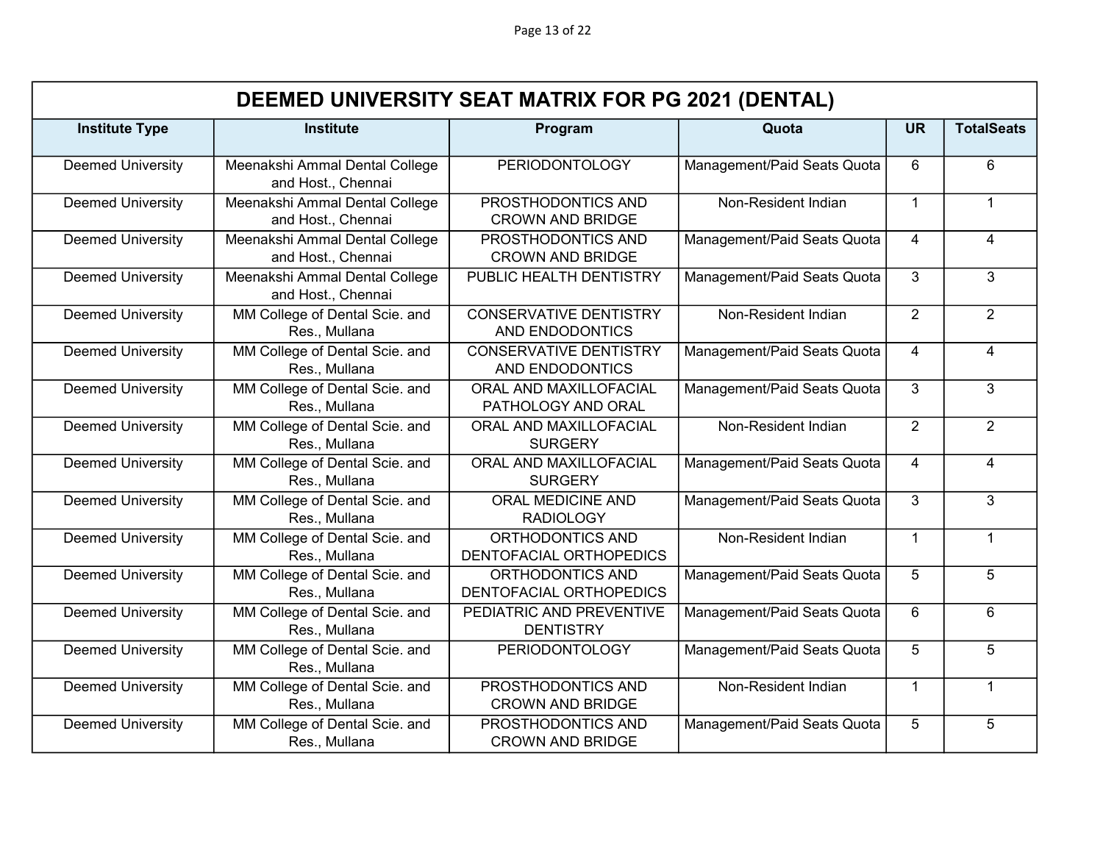| DEEMED UNIVERSITY SEAT MATRIX FOR PG 2021 (DENTAL) |                                                      |                                                  |                             |                |                   |  |
|----------------------------------------------------|------------------------------------------------------|--------------------------------------------------|-----------------------------|----------------|-------------------|--|
| <b>Institute Type</b>                              | <b>Institute</b>                                     | Program                                          | Quota                       | <b>UR</b>      | <b>TotalSeats</b> |  |
| <b>Deemed University</b>                           | Meenakshi Ammal Dental College<br>and Host., Chennai | <b>PERIODONTOLOGY</b>                            | Management/Paid Seats Quota | 6              | 6                 |  |
| <b>Deemed University</b>                           | Meenakshi Ammal Dental College<br>and Host., Chennai | PROSTHODONTICS AND<br><b>CROWN AND BRIDGE</b>    | Non-Resident Indian         | $\overline{1}$ | $\mathbf{1}$      |  |
| <b>Deemed University</b>                           | Meenakshi Ammal Dental College<br>and Host., Chennai | PROSTHODONTICS AND<br><b>CROWN AND BRIDGE</b>    | Management/Paid Seats Quota | 4              | 4                 |  |
| <b>Deemed University</b>                           | Meenakshi Ammal Dental College<br>and Host., Chennai | PUBLIC HEALTH DENTISTRY                          | Management/Paid Seats Quota | 3              | 3                 |  |
| <b>Deemed University</b>                           | MM College of Dental Scie. and<br>Res., Mullana      | <b>CONSERVATIVE DENTISTRY</b><br>AND ENDODONTICS | Non-Resident Indian         | 2              | $\overline{2}$    |  |
| <b>Deemed University</b>                           | MM College of Dental Scie. and<br>Res., Mullana      | <b>CONSERVATIVE DENTISTRY</b><br>AND ENDODONTICS | Management/Paid Seats Quota | 4              | $\overline{4}$    |  |
| <b>Deemed University</b>                           | MM College of Dental Scie. and<br>Res., Mullana      | ORAL AND MAXILLOFACIAL<br>PATHOLOGY AND ORAL     | Management/Paid Seats Quota | 3              | 3                 |  |
| <b>Deemed University</b>                           | MM College of Dental Scie. and<br>Res., Mullana      | ORAL AND MAXILLOFACIAL<br><b>SURGERY</b>         | Non-Resident Indian         | $\overline{2}$ | $\overline{2}$    |  |
| <b>Deemed University</b>                           | MM College of Dental Scie. and<br>Res., Mullana      | ORAL AND MAXILLOFACIAL<br><b>SURGERY</b>         | Management/Paid Seats Quota | $\overline{4}$ | 4                 |  |
| <b>Deemed University</b>                           | MM College of Dental Scie. and<br>Res., Mullana      | <b>ORAL MEDICINE AND</b><br><b>RADIOLOGY</b>     | Management/Paid Seats Quota | 3              | 3                 |  |
| <b>Deemed University</b>                           | MM College of Dental Scie. and<br>Res., Mullana      | ORTHODONTICS AND<br>DENTOFACIAL ORTHOPEDICS      | Non-Resident Indian         | $\mathbf{1}$   | $\mathbf{1}$      |  |
| <b>Deemed University</b>                           | MM College of Dental Scie. and<br>Res., Mullana      | ORTHODONTICS AND<br>DENTOFACIAL ORTHOPEDICS      | Management/Paid Seats Quota | 5              | $\overline{5}$    |  |
| <b>Deemed University</b>                           | MM College of Dental Scie. and<br>Res., Mullana      | PEDIATRIC AND PREVENTIVE<br><b>DENTISTRY</b>     | Management/Paid Seats Quota | 6              | 6                 |  |
| <b>Deemed University</b>                           | MM College of Dental Scie. and<br>Res., Mullana      | <b>PERIODONTOLOGY</b>                            | Management/Paid Seats Quota | 5              | 5                 |  |
| <b>Deemed University</b>                           | MM College of Dental Scie. and<br>Res., Mullana      | PROSTHODONTICS AND<br><b>CROWN AND BRIDGE</b>    | Non-Resident Indian         | $\mathbf{1}$   | $\mathbf{1}$      |  |
| <b>Deemed University</b>                           | MM College of Dental Scie. and<br>Res., Mullana      | PROSTHODONTICS AND<br><b>CROWN AND BRIDGE</b>    | Management/Paid Seats Quota | 5              | 5                 |  |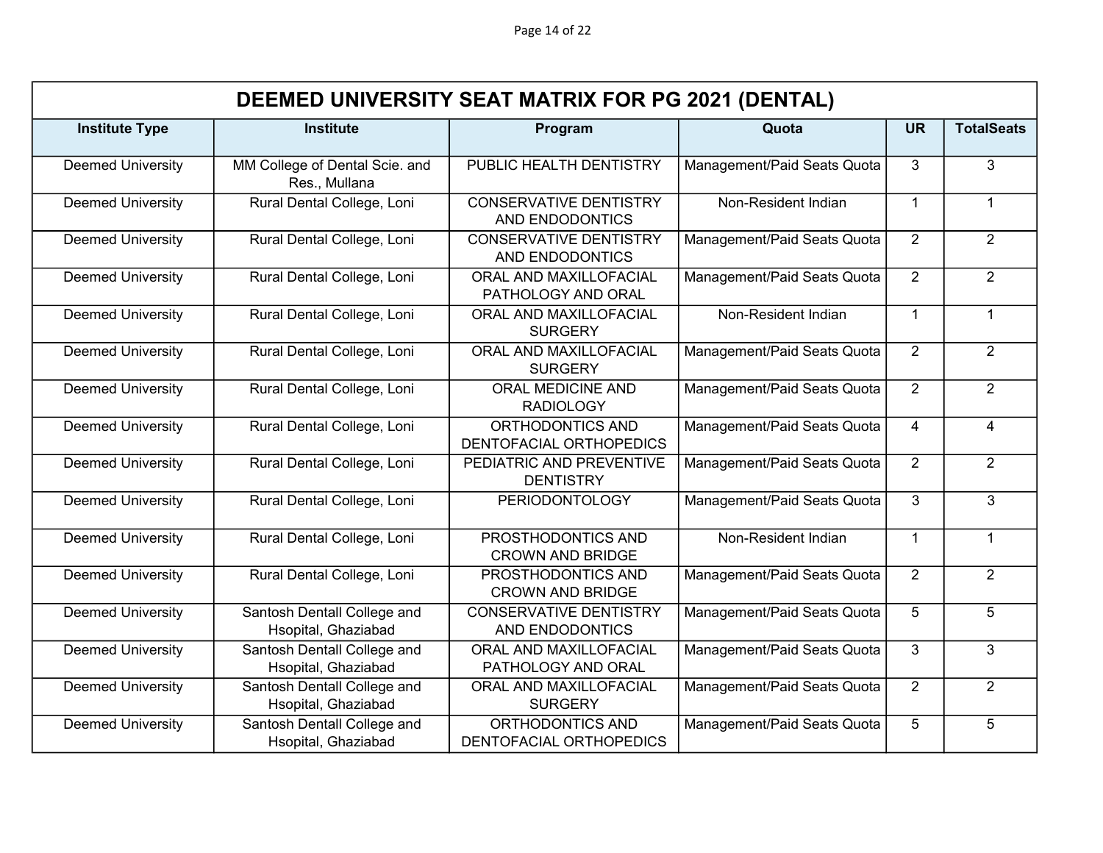|                          | DEEMED UNIVERSITY SEAT MATRIX FOR PG 2021 (DENTAL) |                                                  |                             |                |                   |  |  |
|--------------------------|----------------------------------------------------|--------------------------------------------------|-----------------------------|----------------|-------------------|--|--|
| <b>Institute Type</b>    | <b>Institute</b>                                   | Program                                          | Quota                       | <b>UR</b>      | <b>TotalSeats</b> |  |  |
| <b>Deemed University</b> | MM College of Dental Scie. and<br>Res., Mullana    | PUBLIC HEALTH DENTISTRY                          | Management/Paid Seats Quota | 3              | 3                 |  |  |
| <b>Deemed University</b> | Rural Dental College, Loni                         | <b>CONSERVATIVE DENTISTRY</b><br>AND ENDODONTICS | Non-Resident Indian         | $\mathbf{1}$   | $\mathbf{1}$      |  |  |
| <b>Deemed University</b> | Rural Dental College, Loni                         | <b>CONSERVATIVE DENTISTRY</b><br>AND ENDODONTICS | Management/Paid Seats Quota | $\overline{2}$ | $\overline{2}$    |  |  |
| <b>Deemed University</b> | Rural Dental College, Loni                         | ORAL AND MAXILLOFACIAL<br>PATHOLOGY AND ORAL     | Management/Paid Seats Quota | 2              | $\overline{2}$    |  |  |
| <b>Deemed University</b> | Rural Dental College, Loni                         | ORAL AND MAXILLOFACIAL<br><b>SURGERY</b>         | Non-Resident Indian         | $\mathbf{1}$   | $\mathbf{1}$      |  |  |
| <b>Deemed University</b> | Rural Dental College, Loni                         | ORAL AND MAXILLOFACIAL<br><b>SURGERY</b>         | Management/Paid Seats Quota | 2              | $\overline{2}$    |  |  |
| <b>Deemed University</b> | Rural Dental College, Loni                         | ORAL MEDICINE AND<br><b>RADIOLOGY</b>            | Management/Paid Seats Quota | $\overline{2}$ | $\overline{2}$    |  |  |
| <b>Deemed University</b> | Rural Dental College, Loni                         | ORTHODONTICS AND<br>DENTOFACIAL ORTHOPEDICS      | Management/Paid Seats Quota | $\overline{4}$ | 4                 |  |  |
| <b>Deemed University</b> | Rural Dental College, Loni                         | PEDIATRIC AND PREVENTIVE<br><b>DENTISTRY</b>     | Management/Paid Seats Quota | $\overline{2}$ | $\overline{2}$    |  |  |
| <b>Deemed University</b> | Rural Dental College, Loni                         | <b>PERIODONTOLOGY</b>                            | Management/Paid Seats Quota | 3              | 3                 |  |  |
| <b>Deemed University</b> | Rural Dental College, Loni                         | PROSTHODONTICS AND<br><b>CROWN AND BRIDGE</b>    | Non-Resident Indian         | $\overline{1}$ | $\mathbf 1$       |  |  |
| <b>Deemed University</b> | Rural Dental College, Loni                         | PROSTHODONTICS AND<br><b>CROWN AND BRIDGE</b>    | Management/Paid Seats Quota | 2              | $\overline{2}$    |  |  |
| <b>Deemed University</b> | Santosh Dentall College and<br>Hsopital, Ghaziabad | <b>CONSERVATIVE DENTISTRY</b><br>AND ENDODONTICS | Management/Paid Seats Quota | 5              | 5                 |  |  |
| <b>Deemed University</b> | Santosh Dentall College and<br>Hsopital, Ghaziabad | ORAL AND MAXILLOFACIAL<br>PATHOLOGY AND ORAL     | Management/Paid Seats Quota | $\overline{3}$ | $\overline{3}$    |  |  |
| <b>Deemed University</b> | Santosh Dentall College and<br>Hsopital, Ghaziabad | ORAL AND MAXILLOFACIAL<br><b>SURGERY</b>         | Management/Paid Seats Quota | 2              | $\overline{2}$    |  |  |
| <b>Deemed University</b> | Santosh Dentall College and<br>Hsopital, Ghaziabad | ORTHODONTICS AND<br>DENTOFACIAL ORTHOPEDICS      | Management/Paid Seats Quota | 5              | 5                 |  |  |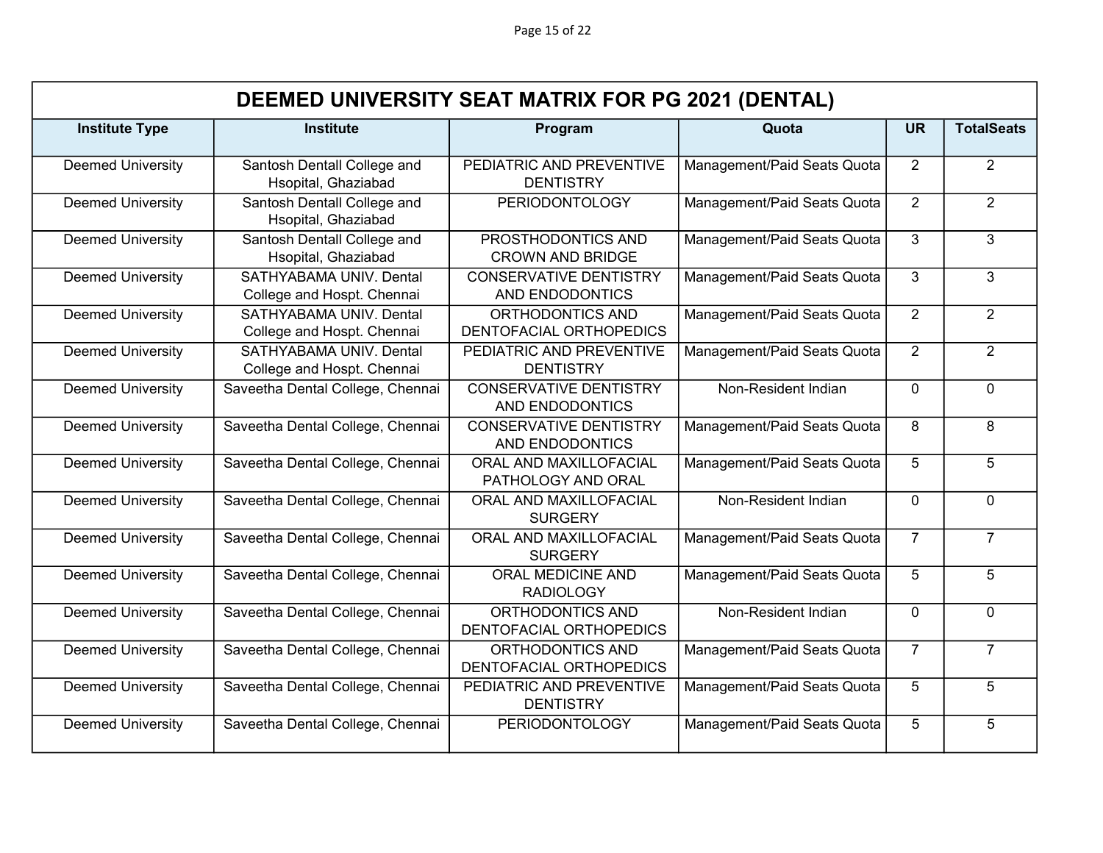| DEEMED UNIVERSITY SEAT MATRIX FOR PG 2021 (DENTAL) |                                                       |                                                  |                             |                |                   |  |
|----------------------------------------------------|-------------------------------------------------------|--------------------------------------------------|-----------------------------|----------------|-------------------|--|
| <b>Institute Type</b>                              | <b>Institute</b>                                      | Program                                          | Quota                       | <b>UR</b>      | <b>TotalSeats</b> |  |
| <b>Deemed University</b>                           | Santosh Dentall College and<br>Hsopital, Ghaziabad    | PEDIATRIC AND PREVENTIVE<br><b>DENTISTRY</b>     | Management/Paid Seats Quota | $\overline{2}$ | $\overline{2}$    |  |
| <b>Deemed University</b>                           | Santosh Dentall College and<br>Hsopital, Ghaziabad    | <b>PERIODONTOLOGY</b>                            | Management/Paid Seats Quota | $\overline{2}$ | $\overline{2}$    |  |
| <b>Deemed University</b>                           | Santosh Dentall College and<br>Hsopital, Ghaziabad    | PROSTHODONTICS AND<br><b>CROWN AND BRIDGE</b>    | Management/Paid Seats Quota | 3              | $\overline{3}$    |  |
| <b>Deemed University</b>                           | SATHYABAMA UNIV. Dental<br>College and Hospt. Chennai | <b>CONSERVATIVE DENTISTRY</b><br>AND ENDODONTICS | Management/Paid Seats Quota | $\mathbf{3}$   | 3                 |  |
| <b>Deemed University</b>                           | SATHYABAMA UNIV. Dental<br>College and Hospt. Chennai | ORTHODONTICS AND<br>DENTOFACIAL ORTHOPEDICS      | Management/Paid Seats Quota | $\overline{2}$ | $\overline{2}$    |  |
| <b>Deemed University</b>                           | SATHYABAMA UNIV. Dental<br>College and Hospt. Chennai | PEDIATRIC AND PREVENTIVE<br><b>DENTISTRY</b>     | Management/Paid Seats Quota | $\overline{2}$ | $\overline{2}$    |  |
| <b>Deemed University</b>                           | Saveetha Dental College, Chennai                      | <b>CONSERVATIVE DENTISTRY</b><br>AND ENDODONTICS | Non-Resident Indian         | $\Omega$       | 0                 |  |
| <b>Deemed University</b>                           | Saveetha Dental College, Chennai                      | <b>CONSERVATIVE DENTISTRY</b><br>AND ENDODONTICS | Management/Paid Seats Quota | 8              | 8                 |  |
| <b>Deemed University</b>                           | Saveetha Dental College, Chennai                      | ORAL AND MAXILLOFACIAL<br>PATHOLOGY AND ORAL     | Management/Paid Seats Quota | 5              | 5                 |  |
| <b>Deemed University</b>                           | Saveetha Dental College, Chennai                      | ORAL AND MAXILLOFACIAL<br><b>SURGERY</b>         | Non-Resident Indian         | $\Omega$       | $\mathbf 0$       |  |
| <b>Deemed University</b>                           | Saveetha Dental College, Chennai                      | ORAL AND MAXILLOFACIAL<br><b>SURGERY</b>         | Management/Paid Seats Quota | $\overline{7}$ | $\overline{7}$    |  |
| <b>Deemed University</b>                           | Saveetha Dental College, Chennai                      | <b>ORAL MEDICINE AND</b><br><b>RADIOLOGY</b>     | Management/Paid Seats Quota | 5              | 5                 |  |
| <b>Deemed University</b>                           | Saveetha Dental College, Chennai                      | ORTHODONTICS AND<br>DENTOFACIAL ORTHOPEDICS      | Non-Resident Indian         | $\Omega$       | $\overline{0}$    |  |
| <b>Deemed University</b>                           | Saveetha Dental College, Chennai                      | ORTHODONTICS AND<br>DENTOFACIAL ORTHOPEDICS      | Management/Paid Seats Quota | $\overline{7}$ | $\overline{7}$    |  |
| <b>Deemed University</b>                           | Saveetha Dental College, Chennai                      | PEDIATRIC AND PREVENTIVE<br><b>DENTISTRY</b>     | Management/Paid Seats Quota | 5              | $\overline{5}$    |  |
| <b>Deemed University</b>                           | Saveetha Dental College, Chennai                      | <b>PERIODONTOLOGY</b>                            | Management/Paid Seats Quota | 5              | 5                 |  |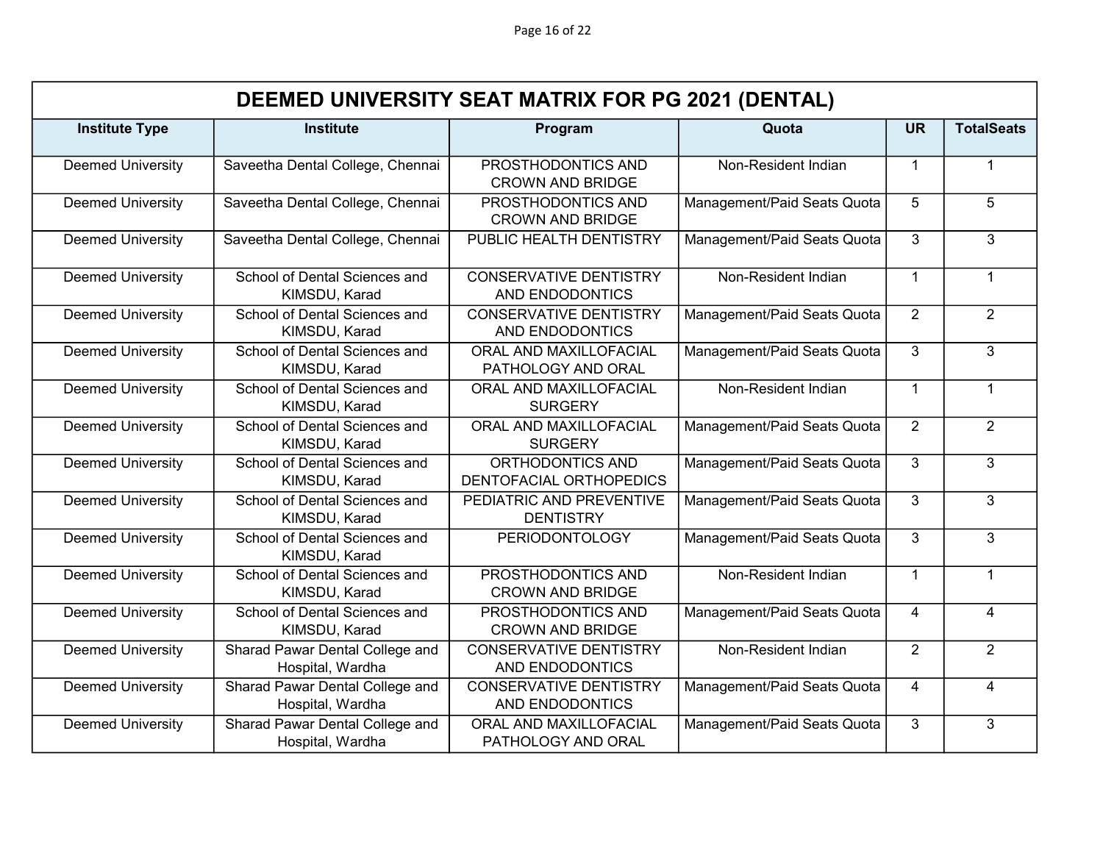Page 16 of 22

|                          | DEEMED UNIVERSITY SEAT MATRIX FOR PG 2021 (DENTAL)  |                                                  |                             |                |                   |  |  |
|--------------------------|-----------------------------------------------------|--------------------------------------------------|-----------------------------|----------------|-------------------|--|--|
| <b>Institute Type</b>    | <b>Institute</b>                                    | Program                                          | Quota                       | <b>UR</b>      | <b>TotalSeats</b> |  |  |
| <b>Deemed University</b> | Saveetha Dental College, Chennai                    | PROSTHODONTICS AND<br><b>CROWN AND BRIDGE</b>    | Non-Resident Indian         | $\mathbf 1$    | $\mathbf{1}$      |  |  |
| <b>Deemed University</b> | Saveetha Dental College, Chennai                    | PROSTHODONTICS AND<br><b>CROWN AND BRIDGE</b>    | Management/Paid Seats Quota | 5              | 5                 |  |  |
| <b>Deemed University</b> | Saveetha Dental College, Chennai                    | PUBLIC HEALTH DENTISTRY                          | Management/Paid Seats Quota | 3              | $\overline{3}$    |  |  |
| <b>Deemed University</b> | School of Dental Sciences and<br>KIMSDU, Karad      | <b>CONSERVATIVE DENTISTRY</b><br>AND ENDODONTICS | Non-Resident Indian         | $\mathbf{1}$   | $\mathbf{1}$      |  |  |
| <b>Deemed University</b> | School of Dental Sciences and<br>KIMSDU, Karad      | <b>CONSERVATIVE DENTISTRY</b><br>AND ENDODONTICS | Management/Paid Seats Quota | 2              | $\overline{2}$    |  |  |
| <b>Deemed University</b> | School of Dental Sciences and<br>KIMSDU, Karad      | ORAL AND MAXILLOFACIAL<br>PATHOLOGY AND ORAL     | Management/Paid Seats Quota | 3              | 3                 |  |  |
| <b>Deemed University</b> | School of Dental Sciences and<br>KIMSDU, Karad      | ORAL AND MAXILLOFACIAL<br><b>SURGERY</b>         | Non-Resident Indian         | $\mathbf{1}$   | $\mathbf{1}$      |  |  |
| <b>Deemed University</b> | School of Dental Sciences and<br>KIMSDU, Karad      | ORAL AND MAXILLOFACIAL<br><b>SURGERY</b>         | Management/Paid Seats Quota | $\overline{2}$ | $\overline{2}$    |  |  |
| <b>Deemed University</b> | School of Dental Sciences and<br>KIMSDU, Karad      | ORTHODONTICS AND<br>DENTOFACIAL ORTHOPEDICS      | Management/Paid Seats Quota | 3              | 3                 |  |  |
| <b>Deemed University</b> | School of Dental Sciences and<br>KIMSDU, Karad      | PEDIATRIC AND PREVENTIVE<br><b>DENTISTRY</b>     | Management/Paid Seats Quota | 3              | 3                 |  |  |
| <b>Deemed University</b> | School of Dental Sciences and<br>KIMSDU, Karad      | <b>PERIODONTOLOGY</b>                            | Management/Paid Seats Quota | 3              | 3                 |  |  |
| <b>Deemed University</b> | School of Dental Sciences and<br>KIMSDU, Karad      | PROSTHODONTICS AND<br><b>CROWN AND BRIDGE</b>    | Non-Resident Indian         | $\mathbf{1}$   | $\mathbf{1}$      |  |  |
| <b>Deemed University</b> | School of Dental Sciences and<br>KIMSDU, Karad      | PROSTHODONTICS AND<br><b>CROWN AND BRIDGE</b>    | Management/Paid Seats Quota | $\overline{4}$ | $\overline{4}$    |  |  |
| <b>Deemed University</b> | Sharad Pawar Dental College and<br>Hospital, Wardha | <b>CONSERVATIVE DENTISTRY</b><br>AND ENDODONTICS | Non-Resident Indian         | 2              | $\overline{2}$    |  |  |
| <b>Deemed University</b> | Sharad Pawar Dental College and<br>Hospital, Wardha | <b>CONSERVATIVE DENTISTRY</b><br>AND ENDODONTICS | Management/Paid Seats Quota | $\overline{4}$ | $\overline{4}$    |  |  |
| <b>Deemed University</b> | Sharad Pawar Dental College and<br>Hospital, Wardha | ORAL AND MAXILLOFACIAL<br>PATHOLOGY AND ORAL     | Management/Paid Seats Quota | 3              | 3                 |  |  |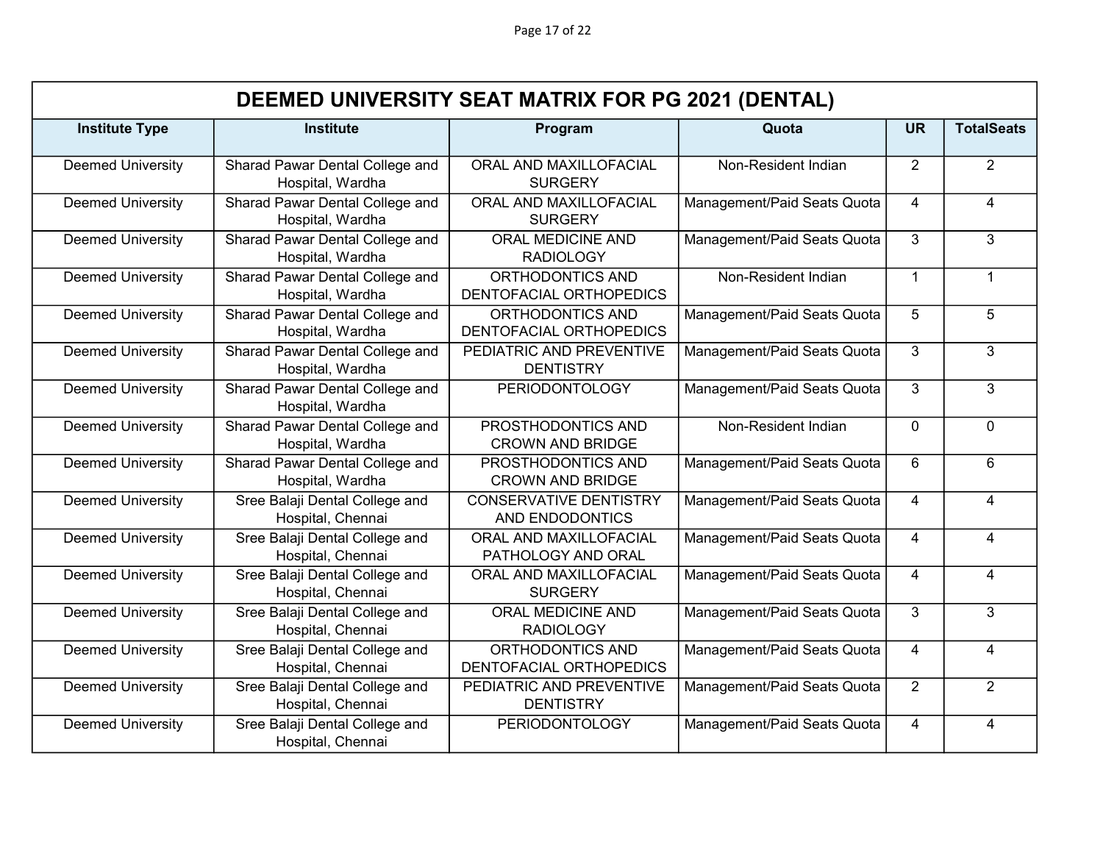Page 17 of 22

|                          | DEEMED UNIVERSITY SEAT MATRIX FOR PG 2021 (DENTAL)  |                                                  |                             |                |                         |  |  |
|--------------------------|-----------------------------------------------------|--------------------------------------------------|-----------------------------|----------------|-------------------------|--|--|
| <b>Institute Type</b>    | <b>Institute</b>                                    | Program                                          | Quota                       | <b>UR</b>      | <b>TotalSeats</b>       |  |  |
| <b>Deemed University</b> | Sharad Pawar Dental College and<br>Hospital, Wardha | ORAL AND MAXILLOFACIAL<br><b>SURGERY</b>         | Non-Resident Indian         | 2              | $\overline{2}$          |  |  |
| <b>Deemed University</b> | Sharad Pawar Dental College and<br>Hospital, Wardha | ORAL AND MAXILLOFACIAL<br><b>SURGERY</b>         | Management/Paid Seats Quota | 4              | $\overline{4}$          |  |  |
| <b>Deemed University</b> | Sharad Pawar Dental College and<br>Hospital, Wardha | ORAL MEDICINE AND<br><b>RADIOLOGY</b>            | Management/Paid Seats Quota | 3              | $\overline{3}$          |  |  |
| <b>Deemed University</b> | Sharad Pawar Dental College and<br>Hospital, Wardha | ORTHODONTICS AND<br>DENTOFACIAL ORTHOPEDICS      | Non-Resident Indian         | $\mathbf{1}$   | $\mathbf{1}$            |  |  |
| <b>Deemed University</b> | Sharad Pawar Dental College and<br>Hospital, Wardha | ORTHODONTICS AND<br>DENTOFACIAL ORTHOPEDICS      | Management/Paid Seats Quota | 5              | 5                       |  |  |
| <b>Deemed University</b> | Sharad Pawar Dental College and<br>Hospital, Wardha | PEDIATRIC AND PREVENTIVE<br><b>DENTISTRY</b>     | Management/Paid Seats Quota | 3              | 3                       |  |  |
| <b>Deemed University</b> | Sharad Pawar Dental College and<br>Hospital, Wardha | <b>PERIODONTOLOGY</b>                            | Management/Paid Seats Quota | 3              | 3 <sup>1</sup>          |  |  |
| Deemed University        | Sharad Pawar Dental College and<br>Hospital, Wardha | PROSTHODONTICS AND<br><b>CROWN AND BRIDGE</b>    | Non-Resident Indian         | $\Omega$       | $\overline{0}$          |  |  |
| <b>Deemed University</b> | Sharad Pawar Dental College and<br>Hospital, Wardha | PROSTHODONTICS AND<br><b>CROWN AND BRIDGE</b>    | Management/Paid Seats Quota | 6              | 6                       |  |  |
| <b>Deemed University</b> | Sree Balaji Dental College and<br>Hospital, Chennai | <b>CONSERVATIVE DENTISTRY</b><br>AND ENDODONTICS | Management/Paid Seats Quota | 4              | $\overline{4}$          |  |  |
| <b>Deemed University</b> | Sree Balaji Dental College and<br>Hospital, Chennai | ORAL AND MAXILLOFACIAL<br>PATHOLOGY AND ORAL     | Management/Paid Seats Quota | $\overline{4}$ | $\overline{4}$          |  |  |
| <b>Deemed University</b> | Sree Balaji Dental College and<br>Hospital, Chennai | ORAL AND MAXILLOFACIAL<br><b>SURGERY</b>         | Management/Paid Seats Quota | 4              | $\overline{\mathbf{4}}$ |  |  |
| <b>Deemed University</b> | Sree Balaji Dental College and<br>Hospital, Chennai | <b>ORAL MEDICINE AND</b><br><b>RADIOLOGY</b>     | Management/Paid Seats Quota | 3              | 3                       |  |  |
| <b>Deemed University</b> | Sree Balaji Dental College and<br>Hospital, Chennai | ORTHODONTICS AND<br>DENTOFACIAL ORTHOPEDICS      | Management/Paid Seats Quota | $\overline{4}$ | $\overline{4}$          |  |  |
| <b>Deemed University</b> | Sree Balaji Dental College and<br>Hospital, Chennai | PEDIATRIC AND PREVENTIVE<br><b>DENTISTRY</b>     | Management/Paid Seats Quota | $\overline{2}$ | $\overline{2}$          |  |  |
| <b>Deemed University</b> | Sree Balaji Dental College and<br>Hospital, Chennai | <b>PERIODONTOLOGY</b>                            | Management/Paid Seats Quota | 4              | $\overline{4}$          |  |  |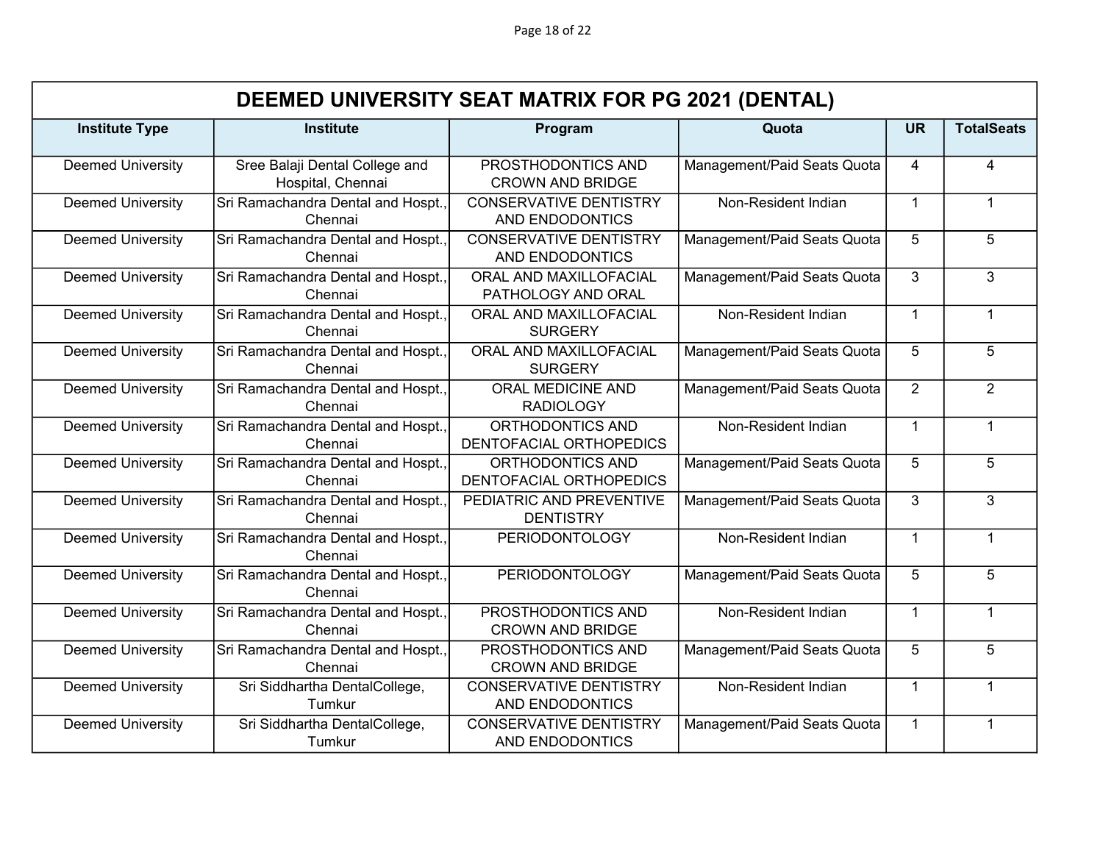Page 18 of 22

|                          | DEEMED UNIVERSITY SEAT MATRIX FOR PG 2021 (DENTAL)  |                                                  |                             |                |                   |  |  |
|--------------------------|-----------------------------------------------------|--------------------------------------------------|-----------------------------|----------------|-------------------|--|--|
| <b>Institute Type</b>    | <b>Institute</b>                                    | Program                                          | Quota                       | <b>UR</b>      | <b>TotalSeats</b> |  |  |
| <b>Deemed University</b> | Sree Balaji Dental College and<br>Hospital, Chennai | PROSTHODONTICS AND<br><b>CROWN AND BRIDGE</b>    | Management/Paid Seats Quota | $\overline{4}$ | $\overline{4}$    |  |  |
| <b>Deemed University</b> | Sri Ramachandra Dental and Hospt.<br>Chennai        | <b>CONSERVATIVE DENTISTRY</b><br>AND ENDODONTICS | Non-Resident Indian         | $\overline{1}$ | $\mathbf{1}$      |  |  |
| <b>Deemed University</b> | Sri Ramachandra Dental and Hospt.<br>Chennai        | <b>CONSERVATIVE DENTISTRY</b><br>AND ENDODONTICS | Management/Paid Seats Quota | 5              | 5                 |  |  |
| <b>Deemed University</b> | Sri Ramachandra Dental and Hospt.,<br>Chennai       | ORAL AND MAXILLOFACIAL<br>PATHOLOGY AND ORAL     | Management/Paid Seats Quota | 3              | 3                 |  |  |
| <b>Deemed University</b> | Sri Ramachandra Dental and Hospt.,<br>Chennai       | ORAL AND MAXILLOFACIAL<br><b>SURGERY</b>         | Non-Resident Indian         | $\overline{1}$ | $\mathbf 1$       |  |  |
| <b>Deemed University</b> | Sri Ramachandra Dental and Hospt.,<br>Chennai       | ORAL AND MAXILLOFACIAL<br><b>SURGERY</b>         | Management/Paid Seats Quota | 5              | 5                 |  |  |
| <b>Deemed University</b> | Sri Ramachandra Dental and Hospt.,<br>Chennai       | ORAL MEDICINE AND<br><b>RADIOLOGY</b>            | Management/Paid Seats Quota | $\overline{2}$ | $\overline{2}$    |  |  |
| <b>Deemed University</b> | Sri Ramachandra Dental and Hospt.,<br>Chennai       | ORTHODONTICS AND<br>DENTOFACIAL ORTHOPEDICS      | Non-Resident Indian         | $\overline{1}$ | $\mathbf{1}$      |  |  |
| <b>Deemed University</b> | Sri Ramachandra Dental and Hospt.,<br>Chennai       | ORTHODONTICS AND<br>DENTOFACIAL ORTHOPEDICS      | Management/Paid Seats Quota | 5              | 5                 |  |  |
| <b>Deemed University</b> | Sri Ramachandra Dental and Hospt.<br>Chennai        | PEDIATRIC AND PREVENTIVE<br><b>DENTISTRY</b>     | Management/Paid Seats Quota | 3              | 3                 |  |  |
| <b>Deemed University</b> | Sri Ramachandra Dental and Hospt.,<br>Chennai       | <b>PERIODONTOLOGY</b>                            | Non-Resident Indian         | $\mathbf{1}$   | $\mathbf{1}$      |  |  |
| <b>Deemed University</b> | Sri Ramachandra Dental and Hospt.,<br>Chennai       | <b>PERIODONTOLOGY</b>                            | Management/Paid Seats Quota | 5              | $\overline{5}$    |  |  |
| <b>Deemed University</b> | Sri Ramachandra Dental and Hospt.,<br>Chennai       | PROSTHODONTICS AND<br><b>CROWN AND BRIDGE</b>    | Non-Resident Indian         | $\overline{1}$ | $\mathbf{1}$      |  |  |
| <b>Deemed University</b> | Sri Ramachandra Dental and Hospt.<br>Chennai        | PROSTHODONTICS AND<br><b>CROWN AND BRIDGE</b>    | Management/Paid Seats Quota | 5              | $\overline{5}$    |  |  |
| <b>Deemed University</b> | Sri Siddhartha DentalCollege,<br>Tumkur             | <b>CONSERVATIVE DENTISTRY</b><br>AND ENDODONTICS | Non-Resident Indian         | $\mathbf{1}$   | $\mathbf 1$       |  |  |
| <b>Deemed University</b> | Sri Siddhartha DentalCollege,<br>Tumkur             | <b>CONSERVATIVE DENTISTRY</b><br>AND ENDODONTICS | Management/Paid Seats Quota | $\mathbf{1}$   | $\mathbf{1}$      |  |  |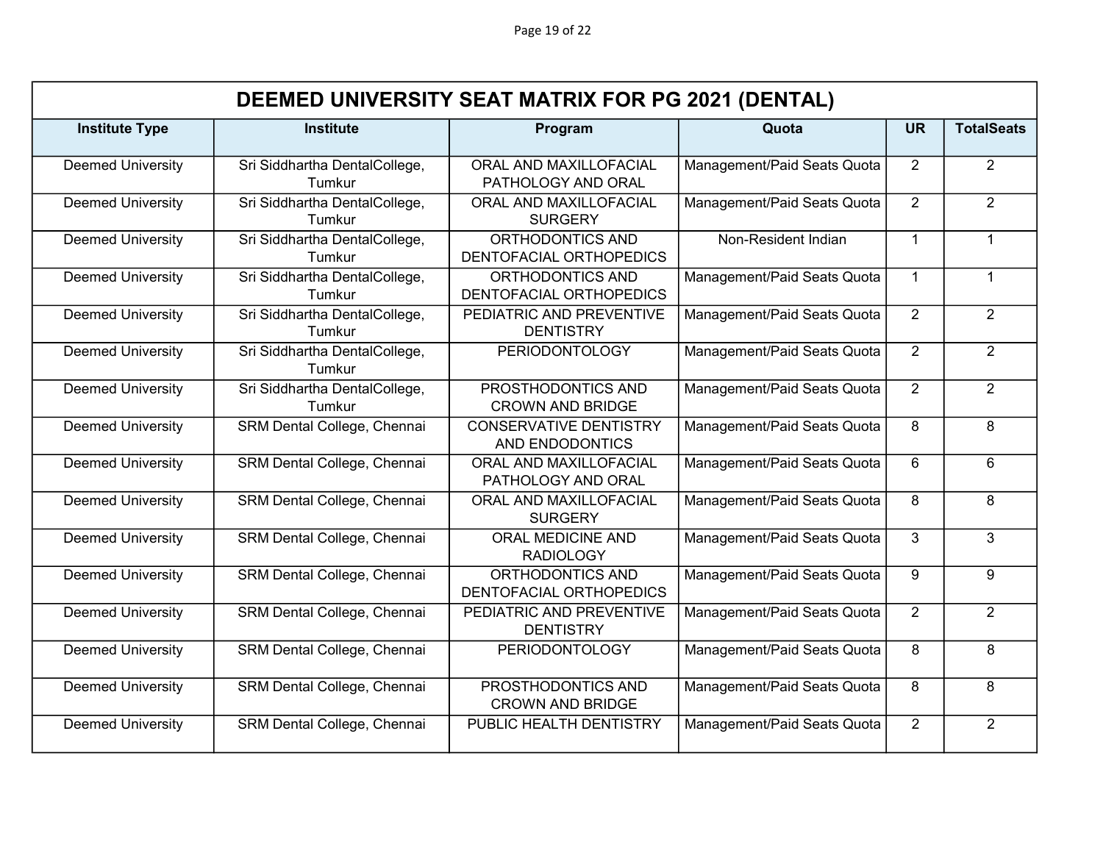Page 19 of 22

|                          | DEEMED UNIVERSITY SEAT MATRIX FOR PG 2021 (DENTAL) |                                                    |                             |                |                   |  |
|--------------------------|----------------------------------------------------|----------------------------------------------------|-----------------------------|----------------|-------------------|--|
| <b>Institute Type</b>    | <b>Institute</b>                                   | Program                                            | Quota                       | <b>UR</b>      | <b>TotalSeats</b> |  |
| <b>Deemed University</b> | Sri Siddhartha DentalCollege,<br>Tumkur            | ORAL AND MAXILLOFACIAL<br>PATHOLOGY AND ORAL       | Management/Paid Seats Quota | $\overline{2}$ | $\overline{2}$    |  |
| <b>Deemed University</b> | Sri Siddhartha DentalCollege,<br>Tumkur            | ORAL AND MAXILLOFACIAL<br><b>SURGERY</b>           | Management/Paid Seats Quota | $\overline{2}$ | $\overline{2}$    |  |
| <b>Deemed University</b> | Sri Siddhartha DentalCollege,<br>Tumkur            | ORTHODONTICS AND<br>DENTOFACIAL ORTHOPEDICS        | Non-Resident Indian         | $\mathbf 1$    | $\mathbf{1}$      |  |
| <b>Deemed University</b> | Sri Siddhartha DentalCollege,<br>Tumkur            | ORTHODONTICS AND<br><b>DENTOFACIAL ORTHOPEDICS</b> | Management/Paid Seats Quota | $\mathbf{1}$   | $\mathbf{1}$      |  |
| <b>Deemed University</b> | Sri Siddhartha DentalCollege,<br>Tumkur            | PEDIATRIC AND PREVENTIVE<br><b>DENTISTRY</b>       | Management/Paid Seats Quota | 2              | $\overline{2}$    |  |
| <b>Deemed University</b> | Sri Siddhartha DentalCollege,<br>Tumkur            | <b>PERIODONTOLOGY</b>                              | Management/Paid Seats Quota | $\overline{2}$ | $\overline{2}$    |  |
| <b>Deemed University</b> | Sri Siddhartha DentalCollege,<br>Tumkur            | PROSTHODONTICS AND<br><b>CROWN AND BRIDGE</b>      | Management/Paid Seats Quota | $\overline{2}$ | $\overline{2}$    |  |
| <b>Deemed University</b> | SRM Dental College, Chennai                        | <b>CONSERVATIVE DENTISTRY</b><br>AND ENDODONTICS   | Management/Paid Seats Quota | 8              | 8                 |  |
| <b>Deemed University</b> | SRM Dental College, Chennai                        | ORAL AND MAXILLOFACIAL<br>PATHOLOGY AND ORAL       | Management/Paid Seats Quota | 6              | 6                 |  |
| <b>Deemed University</b> | SRM Dental College, Chennai                        | ORAL AND MAXILLOFACIAL<br><b>SURGERY</b>           | Management/Paid Seats Quota | 8              | 8                 |  |
| <b>Deemed University</b> | SRM Dental College, Chennai                        | ORAL MEDICINE AND<br><b>RADIOLOGY</b>              | Management/Paid Seats Quota | 3              | $\overline{3}$    |  |
| <b>Deemed University</b> | SRM Dental College, Chennai                        | ORTHODONTICS AND<br>DENTOFACIAL ORTHOPEDICS        | Management/Paid Seats Quota | 9              | 9                 |  |
| <b>Deemed University</b> | SRM Dental College, Chennai                        | PEDIATRIC AND PREVENTIVE<br><b>DENTISTRY</b>       | Management/Paid Seats Quota | $\overline{2}$ | $\overline{2}$    |  |
| <b>Deemed University</b> | SRM Dental College, Chennai                        | <b>PERIODONTOLOGY</b>                              | Management/Paid Seats Quota | 8              | 8                 |  |
| <b>Deemed University</b> | SRM Dental College, Chennai                        | PROSTHODONTICS AND<br><b>CROWN AND BRIDGE</b>      | Management/Paid Seats Quota | 8              | 8                 |  |
| <b>Deemed University</b> | SRM Dental College, Chennai                        | PUBLIC HEALTH DENTISTRY                            | Management/Paid Seats Quota | 2              | $\overline{2}$    |  |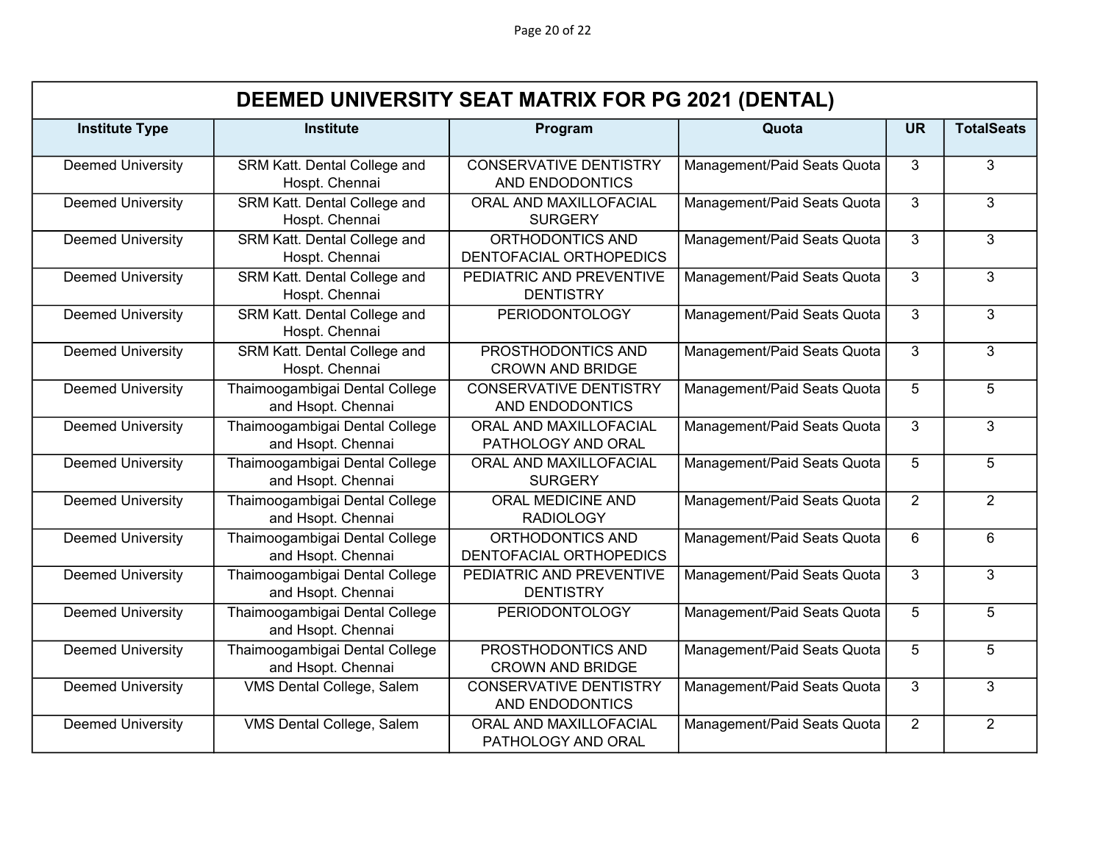Page 20 of 22

|                          | DEEMED UNIVERSITY SEAT MATRIX FOR PG 2021 (DENTAL)   |                                                  |                             |                |                   |  |
|--------------------------|------------------------------------------------------|--------------------------------------------------|-----------------------------|----------------|-------------------|--|
| <b>Institute Type</b>    | <b>Institute</b>                                     | Program                                          | Quota                       | <b>UR</b>      | <b>TotalSeats</b> |  |
| <b>Deemed University</b> | SRM Katt. Dental College and<br>Hospt. Chennai       | <b>CONSERVATIVE DENTISTRY</b><br>AND ENDODONTICS | Management/Paid Seats Quota | 3              | 3                 |  |
| <b>Deemed University</b> | SRM Katt. Dental College and<br>Hospt. Chennai       | ORAL AND MAXILLOFACIAL<br><b>SURGERY</b>         | Management/Paid Seats Quota | 3              | 3                 |  |
| <b>Deemed University</b> | SRM Katt. Dental College and<br>Hospt. Chennai       | ORTHODONTICS AND<br>DENTOFACIAL ORTHOPEDICS      | Management/Paid Seats Quota | $\overline{3}$ | $\overline{3}$    |  |
| <b>Deemed University</b> | SRM Katt. Dental College and<br>Hospt. Chennai       | PEDIATRIC AND PREVENTIVE<br><b>DENTISTRY</b>     | Management/Paid Seats Quota | 3              | 3                 |  |
| <b>Deemed University</b> | SRM Katt. Dental College and<br>Hospt. Chennai       | <b>PERIODONTOLOGY</b>                            | Management/Paid Seats Quota | 3              | 3                 |  |
| <b>Deemed University</b> | SRM Katt. Dental College and<br>Hospt. Chennai       | PROSTHODONTICS AND<br><b>CROWN AND BRIDGE</b>    | Management/Paid Seats Quota | 3              | 3                 |  |
| <b>Deemed University</b> | Thaimoogambigai Dental College<br>and Hsopt. Chennai | <b>CONSERVATIVE DENTISTRY</b><br>AND ENDODONTICS | Management/Paid Seats Quota | 5              | 5                 |  |
| <b>Deemed University</b> | Thaimoogambigai Dental College<br>and Hsopt. Chennai | ORAL AND MAXILLOFACIAL<br>PATHOLOGY AND ORAL     | Management/Paid Seats Quota | 3              | 3                 |  |
| <b>Deemed University</b> | Thaimoogambigai Dental College<br>and Hsopt. Chennai | ORAL AND MAXILLOFACIAL<br><b>SURGERY</b>         | Management/Paid Seats Quota | 5              | 5                 |  |
| <b>Deemed University</b> | Thaimoogambigai Dental College<br>and Hsopt. Chennai | <b>ORAL MEDICINE AND</b><br><b>RADIOLOGY</b>     | Management/Paid Seats Quota | $\overline{2}$ | $\overline{2}$    |  |
| <b>Deemed University</b> | Thaimoogambigai Dental College<br>and Hsopt. Chennai | ORTHODONTICS AND<br>DENTOFACIAL ORTHOPEDICS      | Management/Paid Seats Quota | 6              | $6\overline{6}$   |  |
| <b>Deemed University</b> | Thaimoogambigai Dental College<br>and Hsopt. Chennai | PEDIATRIC AND PREVENTIVE<br><b>DENTISTRY</b>     | Management/Paid Seats Quota | 3              | 3                 |  |
| <b>Deemed University</b> | Thaimoogambigai Dental College<br>and Hsopt. Chennai | <b>PERIODONTOLOGY</b>                            | Management/Paid Seats Quota | 5              | 5                 |  |
| <b>Deemed University</b> | Thaimoogambigai Dental College<br>and Hsopt. Chennai | PROSTHODONTICS AND<br><b>CROWN AND BRIDGE</b>    | Management/Paid Seats Quota | 5 <sup>5</sup> | $\overline{5}$    |  |
| <b>Deemed University</b> | VMS Dental College, Salem                            | <b>CONSERVATIVE DENTISTRY</b><br>AND ENDODONTICS | Management/Paid Seats Quota | 3              | 3                 |  |
| <b>Deemed University</b> | VMS Dental College, Salem                            | ORAL AND MAXILLOFACIAL<br>PATHOLOGY AND ORAL     | Management/Paid Seats Quota | 2              | $\overline{2}$    |  |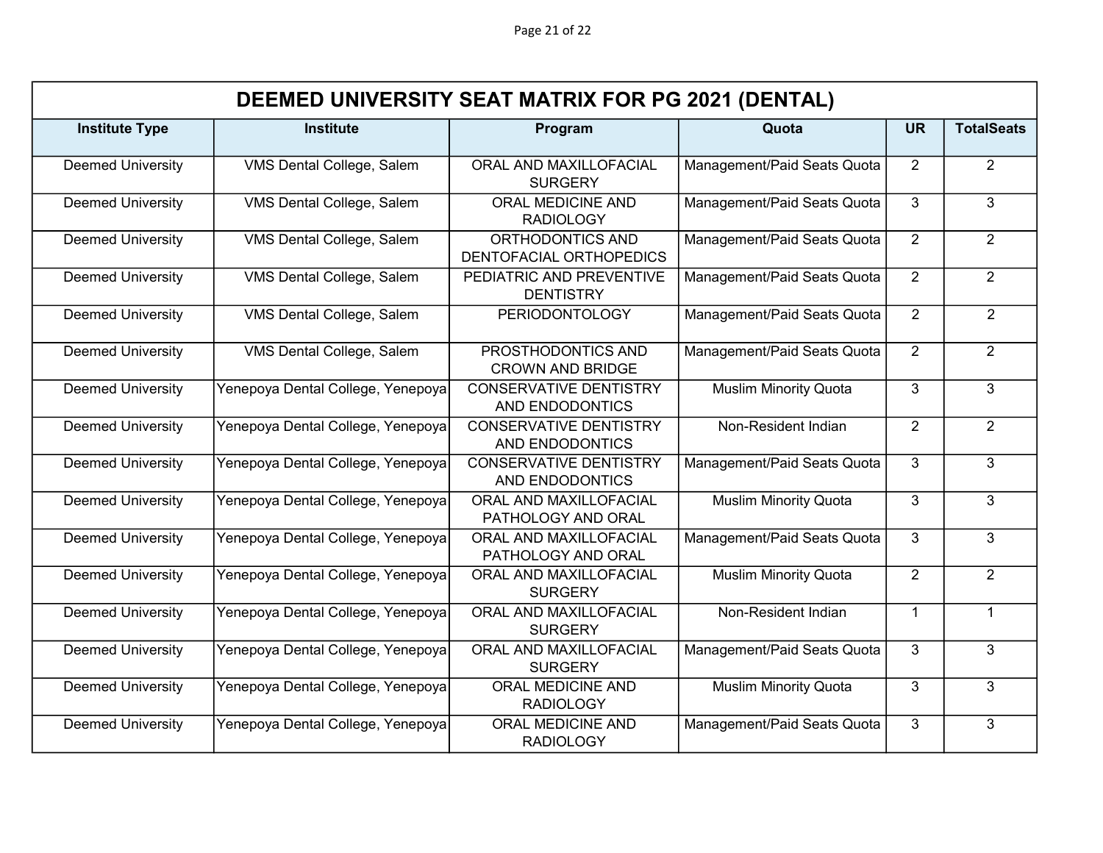|                          | DEEMED UNIVERSITY SEAT MATRIX FOR PG 2021 (DENTAL) |                                                  |                              |                |                   |  |  |
|--------------------------|----------------------------------------------------|--------------------------------------------------|------------------------------|----------------|-------------------|--|--|
| <b>Institute Type</b>    | <b>Institute</b>                                   | Program                                          | Quota                        | <b>UR</b>      | <b>TotalSeats</b> |  |  |
| <b>Deemed University</b> | VMS Dental College, Salem                          | ORAL AND MAXILLOFACIAL<br><b>SURGERY</b>         | Management/Paid Seats Quota  | $\overline{2}$ | $\overline{2}$    |  |  |
| <b>Deemed University</b> | VMS Dental College, Salem                          | ORAL MEDICINE AND<br><b>RADIOLOGY</b>            | Management/Paid Seats Quota  | 3              | 3                 |  |  |
| <b>Deemed University</b> | VMS Dental College, Salem                          | ORTHODONTICS AND<br>DENTOFACIAL ORTHOPEDICS      | Management/Paid Seats Quota  | $\overline{2}$ | $\overline{2}$    |  |  |
| <b>Deemed University</b> | VMS Dental College, Salem                          | PEDIATRIC AND PREVENTIVE<br><b>DENTISTRY</b>     | Management/Paid Seats Quota  | $\overline{2}$ | $\overline{2}$    |  |  |
| <b>Deemed University</b> | VMS Dental College, Salem                          | <b>PERIODONTOLOGY</b>                            | Management/Paid Seats Quota  | $\overline{2}$ | $\overline{2}$    |  |  |
| <b>Deemed University</b> | VMS Dental College, Salem                          | PROSTHODONTICS AND<br><b>CROWN AND BRIDGE</b>    | Management/Paid Seats Quota  | $\overline{2}$ | $\overline{2}$    |  |  |
| <b>Deemed University</b> | Yenepoya Dental College, Yenepoya                  | <b>CONSERVATIVE DENTISTRY</b><br>AND ENDODONTICS | <b>Muslim Minority Quota</b> | 3              | 3                 |  |  |
| <b>Deemed University</b> | Yenepoya Dental College, Yenepoya                  | <b>CONSERVATIVE DENTISTRY</b><br>AND ENDODONTICS | Non-Resident Indian          | 2              | $\overline{2}$    |  |  |
| <b>Deemed University</b> | Yenepoya Dental College, Yenepoya                  | <b>CONSERVATIVE DENTISTRY</b><br>AND ENDODONTICS | Management/Paid Seats Quota  | 3              | 3                 |  |  |
| <b>Deemed University</b> | Yenepoya Dental College, Yenepoya                  | ORAL AND MAXILLOFACIAL<br>PATHOLOGY AND ORAL     | <b>Muslim Minority Quota</b> | 3              | 3                 |  |  |
| <b>Deemed University</b> | Yenepoya Dental College, Yenepoya                  | ORAL AND MAXILLOFACIAL<br>PATHOLOGY AND ORAL     | Management/Paid Seats Quota  | 3              | $\overline{3}$    |  |  |
| <b>Deemed University</b> | Yenepoya Dental College, Yenepoya                  | ORAL AND MAXILLOFACIAL<br><b>SURGERY</b>         | <b>Muslim Minority Quota</b> | $\overline{2}$ | $\overline{2}$    |  |  |
| <b>Deemed University</b> | Yenepoya Dental College, Yenepoya                  | ORAL AND MAXILLOFACIAL<br><b>SURGERY</b>         | Non-Resident Indian          | $\overline{1}$ | $\mathbf{1}$      |  |  |
| <b>Deemed University</b> | Yenepoya Dental College, Yenepoya                  | ORAL AND MAXILLOFACIAL<br><b>SURGERY</b>         | Management/Paid Seats Quota  | 3              | $\overline{3}$    |  |  |
| <b>Deemed University</b> | Yenepoya Dental College, Yenepoya                  | <b>ORAL MEDICINE AND</b><br><b>RADIOLOGY</b>     | <b>Muslim Minority Quota</b> | 3              | 3                 |  |  |
| <b>Deemed University</b> | Yenepoya Dental College, Yenepoya                  | <b>ORAL MEDICINE AND</b><br><b>RADIOLOGY</b>     | Management/Paid Seats Quota  | 3              | 3                 |  |  |